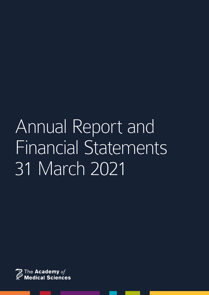# Annual Report and Financial Statements 31 March 2021

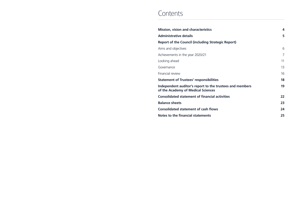# **Contents**

**Mission, vision and characteristics 4 Administrative details 5 Report of the Council (including Strategic** Aims and objectives Achievements in the year 2020/21 Looking ahead Governance Financial review **Statement of Trustees' responsibilities** Independent auditor's report to the trust **of the Academy of Medical Sciences Consolidated statement of financial activity Balance sheets 23 Consolidated statement of cash flows 24**

**Notes to the financial statements 25**

|                  | 4              |
|------------------|----------------|
|                  | 5              |
| : Report)        |                |
|                  | 6              |
|                  | $\overline{7}$ |
|                  | 11             |
|                  | 13             |
|                  | 16             |
|                  | 18             |
| rees and members | 19             |
| <b>ities</b>     | 22             |
|                  | 23             |
|                  | 24             |
|                  | nг             |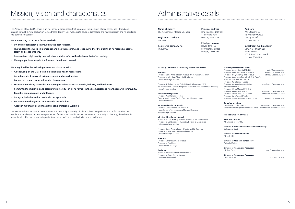Administrative details

#### **Name of charity** The Academy of Medical Sciences

**Registered charity no** 1185329

**Registered company no** RC000905

**Principal address**

(and Registered Office) 41 Portland Place London, W1B 1QH

**Principal bankers** Lloyds Bank PLC 8-10 Waterloo Place London, SW1Y 4BE

#### **Auditors**

PKF Littlejohn LLP 15 Westferry Circus Canary Wharf London, E14 4HD

#### **Investment fund manager**

Sarasin & Partners LLP Juxon House 100 St Paul's Churchyard London, EC4M 8BU

#### **Honorary Officers of the Academy of Medical Sciences**

#### **President**

Professor Dame Anne Johnson PMedSci (from 3 December 2020) Professor of Infectious Disease Epidemiology, University College London

Professor Sir Robert Lechler PMedSci (until 3 December 2020) Former Executive Director, King's Health Partners and Vice Principal (Health), King's College London

#### **Vice-President (clinical)**

Professor Paul Stewart FMedSci Dean of Medicine and Faculty Dean Medicine and Health, University of Leeds

#### **Vice-President (non-clinical)**

Professor Michael Malim FRS FMedSci Head, School of Immunology & Microbial Sciences, King's College London

#### **Vice-President (international)**

Professor Frances Brodsky FMedSci (Interim) (from 3 December) Professor of Cell Biology and Director, Division of Biosciences, University College London

Professor Dame Anne Johnson FMedSci (until 3 December) Professor of Infectious Disease Epidemiology, University College London

**Treasurer**

Professor Edward Bullmore FMedSci Professor of Psychiatry, University of Cambridge

#### **Registrar**

Professor Philippa Saunders FRSE FMedSci Professor of Reproductive Steroids, University of Edinburgh

#### **Ordinary Members of Council**

Professor Frances Brodsky FMedSci *until 3 December 2020* Professor Dame Jessica Corner FMedSci Professor Hilary Critchley FRSE FMedSci *retired 3 December 2020* Professor Dame Anna Dominiczak FRSE FMedSci Professor Michael Hanna FMedSci Professor David Lomas FMedSci Professor Margaret (Mandy) MacLean *appointed 3 December 2020* MBE FRSE FMedSci Professor Patrick Maxwell FMedSci Professor Neena Modi FMedSci *appointed 3 December 2020* Professor Eleanor Riley FRSE FMedSci *appointed 3 December 2020* Professor David Webb FMedSci Professor Julie Williams CBE FMedSci FLSW *retired 3 December 2020*

#### **Co-opted members**

Dr Rabinder Prinjha FMedSci *re-appointed 3 December 2020* Professor Dame Margaret Whitehead FMedSci *re-appointed 3 December 2020*

#### **Principal Employed Officers**

**Executive Director** Mr Simon Denegri, OBE

**Director of Biomedical Grants and Careers Policy** Dr Suzanne Candy

#### **Director of Communications**

Mr Nick Hillier

#### **Director of Medical Science Policy** Dr Rachel Quinn

**Director of Finance and Resources** Mr Aled Bath *from 6 September 2020*

**Director of Finance and Resources** Mrs Chris Straw *until 30 June 2020*

# Mission, vision and characteristics

The Academy of Medical Sciences is an independent organisation that represents the spectrum of medical science – from basic research through clinical application to healthcare delivery. Our mission is to advance biomedical and health research and its translation into benefits for society.

**We are working to secure a future in which:**

- **• UK and global health is improved by the best research.**
- **• The UK leads the world in biomedical and health research, and is renowned for the quality of its research outputs, talent and collaborations.**
- **• Independent, high quality medical science advice informs the decisions that affect society.**
- **• More people have a say in the future of health and research.**

**We are guided by the following values and characteristics:** 

- **• A Fellowship of the UK's best biomedical and health researchers.**
- **• An independent source of evidence-based and expert advice.**
- **• Connected to, and respected by, decision makers.**
- **• Focused on realising cross-disciplinary opportunities across academia, industry and healthcare.**
- **• Committed to improving and celebrating diversity in all its forms in the biomedical and health research community.**
- **• Global in outlook, reach and influence.**
- **• Catalytic, inclusive and accessible in our approach.**
- **• Responsive to change and innovative in our solutions.**
- **• Adept at maximising our impact through partnership working.**

Our elected Fellows are central to our success. It is their unique diversity of talent, collective experience and professionalism that enables the Academy to address complex issues of science and healthcare with expertise and authority. In this way, the Fellowship is a national, public resource of independent and expert advice on medical science and healthcare.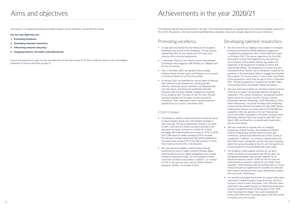*Our mission is to advance biomedical and health research and its translation into benefits for society.*

**Our four key objectives are:**

- **1. Promoting excellence**
- **2. Developing talented researchers**
- **3. Influencing research and policy**
- **4. Engaging patients, the public and professionals**

Income and expenditure under the four key objectives for the financial year to 31 March 2020 are shown in the Consolidated Statement of Financial Activities at page 22.

# Aims and objectives Achievements in the year 2020/21

## Promoting excellence

- In April 2020 we elected 50 new Fellows to the Academy Fellowship from a pool of 415 candidates. 19 were women, representing 38% of new Fellows and 12% were from minority ethnic minority backgrounds.
- In December 2020 the Jean Shanks Lecture was delivered by Professor Irene Higginson OBE FMedSci on *`Palliative care for the 21st century'*.
- Also in December 2020, we elected Sir Bruce Keogh, Professor Dame Ottoline Leyser and Professor Lucio Luzzatto as Honorary Fellows at our first virtual AGM.
- In February 2021 we published our annual report of diversity data collected across programmes, detailing gender, ethnicity, nationality, sexual orientation and disability data (our sixth report, and the fourth published externally). Previously data has been collated, analysed and reported on by Academy staff. This year, for the first time, the data has been analysed and the report written by external consultants. Their independent report was discussed and signed off by our Council in December 2020.

# Developing talented researchers

- The first cohort of our flagship Future Leaders in Innovation, Enterprise and Research (FLIER) leadership programme, completed the programme with a virtual celebration event on 24 March 2021. This was an opportunity for the FLIER participants to share their leadership journey and crosssector projects with Academy Fellows, key leaders and supporters of the programme including Sir Dennis and Lady Mireille Gillings. The programme for cohort one was extended by three months, due to disruptions caused by the pandemic to the participants ability to engage and complete their projects. Our second cohort is now in their second year of the programme, which they are due to finish in December 2021. The pilot programme is funded from the BEIS Talent Fund and the Dennis and Mireille Gillings Foundation.
- We have continued to deliver our portfolio of grant schemes, which aim to support and develop talented and aspiring researchers. The schemes include our: Springboard Awards, Starter Grants for Clinical Lecturers, Clinician Scientist Fellowships, Newton Fellowships, GCRF Networking Grants, AMS Professorships, the Daniel Turnberg Travel Fellowship scheme and the Hamied Foundation UK-India AMR Visiting Professorship scheme. An overall total of £10,336,499 was awarded to 165 new grantees in the last financial year. Due to the COVID-19 pandemic, the Daniel Turnberg Travel Fellowship Selection Panel was moved to April 2021 from March 2020 and therefore, no awards were made within the last financial year.
- We have continued to innovate with our targeted programme of grant funding. The Academy of Medical Sciences Professorship scheme has continued to gain momentum, and we have delivered two further rounds of competition in 2020/21. This scheme, underpinned by the BEIS Talent Fund, is designed to attract and retain emerging talent from across the globe to the UK, with the specific aim to build capacity at the early-leadership career stage.
- The Academy's wider support activities for our grant holders has been a strong feature over the last year. Our Springboard awardees were brought together for an enhanced induction session. Whilst for the first time we implemented an induction meeting for our Starter Grant awardees. These meetings were successfully held in a virtual format and were an opportunity for awardees to showcase their research and benefit from career development support and cross sector networking.
- Our portfolio of programme activities to support early career researchers, funded through a range of sources, continues to grow in terms of reach and impact. Over 160 early career researchers were paired through our Mentoring programme this year, bringing the total mentoring pairs to over 1000 since the programme began. Two career development events were held online to provide support and skills training to trainees across the country.

### COVID-19 Related

- The pandemic created a media environment where the voices of diverse experts giving clear and relatable messages is ever more vital. This led to exponential increases in our work to train, coach and link Fellows and grant awardees with journalists for expert comment on COVID-19. In 2020, we logged 266 media enquiries (an increase of 151% on 2019) and 3,294 pieces of media coverage (a 541% increase). We also saw increased interest from high priority publications – estimated to be at least 41% of the total enquiries (in 2019, they made up around 24% of all enquiries).
- We have worked to address misinformation through amplifying the views of expert scientists through digital communications and our digital engagement saw a similar increase to traditional media. Our main website received more than 270,000 unique visitors in 2020/21 - an increase of 15% on the previous year, and our Twitter followers jumped to 29,000 - an increase of 20%.

The following identifies key achievements in the year. These were dominated by our leading role in the national and global response to the COVID-19 pandemic. We have therefore identified these separately under each strategic objective for ease of reference.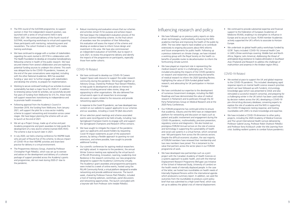#### COVID-19 Related

- We have continued to develop our COVID-19 Careers Support Space web resource to support the wider research community during the pandemic. We brought together an Advisory Group, chaired by Professor Paul Stewart FMedSci, to help guide its development and advise on themes for resources including personal video stories, blogs and signposting to other organisations. We also delivered five virtual events open to all researchers to encourage discussion on topics related to the resources and provide networking opportunities.
- In response to the Covid-19 pandemic, we have developed new content on our website to support applicants to our schemes and our awardees, including a Covid-19 Q&A document.
- All our selection panel meetings and scheme associated events were reconfigured to be held virtually, including: two Springboard Champion Events to engage with and support the Springboard Champions and Research Office contacts.
- We have sought to mitigate the impact of the pandemic upon our applicants and award-holders by requesting Covid-19 impact statements as part of the assessment process, by taking a flexible approach to granting no-cost extensions, and where possible, have sought to provide additional funding.
- Our scientific conferences for aspiring medical researchers are highly valued. In response to the pandemic, the annual Winter Science meeting was replaced by the virtual launch of PILLAR (Promoting, Innovation, Learning, Leadership And Resilience in the research community), our new programme designed to support the Academy's community virtually. The Academy's grant awardees and programme participants were invited to a week of online events, hosted using the PILLAR Community Portal, a virtual platform designed to enable networking and provide additional resources. The launch week, chaired by Professor Frances Platt FMedSci, included a host of training webinars, workshops, panel discussions and networking opportunities. The launch concluded with a keynote talk from Professor John Iredale FMedSci.

### COVID-19 Related

- We worked at pace to support the UK and global response to the COVID-19 pandemic. This included: developing rapid response reports on mental health science research priorities (which we have followed up with funders), immunology knowledge gaps (which was presented to SAGE and also stimulated a successful research consortia), and preparing for a challenging winter in the UK (which has been used widely by decision makers across the UK); developing a COVID-19 pre-clinical drug discovery database; convening experts to explore the role of academia and the NHS in supporting the COVID-19 diagnostic testing response; and hosting roundtables with LMICs to share knowledge and expertise.
- We have included a COVID-19 dimension to other policy projects, including the 2020 Academy of Medical Sciences and The Lancet International Health Lecture delivered by Professor Gabriel Leung, Professor Robin Shattock FMedSci and Professor Ilona Kickbusch under the title *Learning from crisis: building resilient systems to combat future pandemics*.

# Influencing research and policy

- We have followed up on previous policy reports on datadriven technologies, multimorbidity, enhancing the NHSacademia interface and improving the health of the public by 2040. The two latter reports have enabled us to contribute extensively to ongoing discussions about NHS reforms and future arrangements for public health. Following up a previous statement on climate change, we have initiated a working group with the Royal Society on the health cobenefits of possible routes to decarbonisation to inform the forthcoming climate summit.
- We have played an important role in representing the medical research sector in a challenging year. This has included articulating the impacts of the COVID pandemic on research and researchers; demonstrating the benefits of medical research to inform the 2020 Spending Review; highlighting the value of ODA-funded global health research; and advocating for UK participation in Horizon Europe.
- We have contributed our expertise to the development of numerous Government strategies, including the R&D Roadmap and have demonstrated the value of medical research in Parliament and to politicians through the All Party Parliamentary Group on Medical Research and at the 2020 Party Conferences.
- Our FORUM programme has continued online to ensure that academia, industry and the NHS have an independent platform for networking and discussion on topics such as patient and public involvement and engagement during the COVID-19 pandemic, multimorbidity, precision prevention, regulatory science and diagnostics. We also hosted our prestigious FORUM Annual Lecture on the role of science and technology in supporting the sustainability of health and social care systems in a virtual format, which convened over 160 participants from across the life sciences sectors. Despite the difficult economic situation, the vast majority of FORUM members have renewed their membership and two new members have joined. This is testament to the value that partners across the sector place in our FORUM programme of work.
- We have developed new partnerships such as a joint project with the Canadian Academy of Health Sciences on a systems approach to public health, and with the Internal Displacement Research Programme (Refugee Law Initiative of the School of Advanced Study, University of London) on the health needs of internally displaced people. In the case of the latter, we hosted two roundtables on health needs of Internally Displaced Persons within the international agenda which produced a summary report. In addition, we used the outcomes from the roundtables to produce a joint policy brief that was submitted to a High-Level Panel, which was set up to address the global crisis of internal displacement.
- We continued to provide substantial expertise and financial support to the Federation of European Academies of Medicine (FEAM), enabling it to strengthen its influence in Europe and to secure its future. FEAM member Academies actively supported the UK's efforts to associate to Horizon Europe.
- We undertook six global health policy workshops funded by GCRF. Topics included: COVID-19; Universal Health Care in LMICs (three workshops covering: Middle East and North Africa; Nigeria; Latin America); *Addressing the threat of antimalarial drug resistance to malaria elimination in Southeast Asia* (Thailand) *and Research to address the challenge of malnutrition and anaemia in the Andean region* (Peru).
- The fifth round of the SUSTAIN programme, to support women in their first independent research position, was launched with a series of virtual events held in early March 2021. We continued delivery of the fourth round of SUSTAIN, reconfiguring workshops to virtual and supporting these participants with mentoring, networking event and newsletters. The cohort finished in July 2021 with media training workshops.
- We have continued to engage with a number of stakeholders regarding the work started in 2017/18 in collaboration with The Health Foundation to develop an innovative transdisciplinary fellowship scheme in health of the public research. We have secured interest from several collaborators and are exploring potential funding sources to underpin the scheme. This work was delayed due to the COVID-19 pandemic, however, at the end of the year conversations were reignited, including with the other National Academies. BEIS has awarded funding a 'year zero' to further engage with stakeholders and develop the scheme, to prepare for implementation.
- Working to secure continued funding of our activities to ensure sustainability has been a major focus for 2020-21. In addition to renewing various funds for activities, we successfully secured five years of funding from Wellcome for £15.7m, these funds will support researchers transitioning to independence and to promote health innovation.
- Following approval from the Academy's Council in December 2019, the funding from Wellcome, from January 2021, will support the pilot for a cross-sector mobility scheme to support networking and innovation across career stages. We have begun planning the scheme with an aim to launch at the end of 2021.
- We set up a Project Group, made up of active and past Academy programme and grant awardees to help guide the development of a new alumni scheme (named AMS HIVE). The scheme is due to launch later in 2021.
- In July 2020, we held a sharing conference for INSPIRE leads who are part of Round five of this scheme, to discuss impact of COVID-19 on their INSPIRE activities and share best practice for delivery in a virtual environment.
- The Programmes Advisory Group, chaired by Professor Christopher Pugh FMedSci, which was set up to oversee and advise on the development and delivery of a cohesive package of support provided across the Academy's grants and programmes, did not meet during 2020-21 due to the pandemic.

• Robust monitoring and evaluation ensure that our schemes and activities remain fit for purpose and achieve impact. We have begun the independent evaluation process of the Clinician Scientist Fellowship scheme. As the final cohort of awardees near the completion of their fellowships, this evaluation will assess the impact of the scheme and develop an evidence base to inform future design and investment in this area. We have also commissioned an independent evaluation of SUSTAIN, due to report in June 2021, to review the programme delivery and identify the impacts of the programme on participants, especially those from earlier cohorts.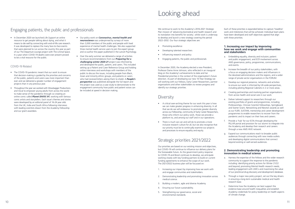We continue to work to the Academy's 2016-2021 Strategic Plan mission of 'advancing biomedical and health research and its translation into benefits for society', whilst work is underway to develop and launch a new strategy covering the period 2022–2032. Our four strategic objectives are:

- Promoting excellence
- Developing talented researchers
- Influencing research and policy
- Engaging patients, the public and professionals

In December 2020, the Academy elected a new President, Professor Dame Anne Johnson, who reflected in an inaugural blog on the Academy's achievements to date and her Presidential priorities in the context of the organisation's future direction. As part of developing our new 10-Year Strategy we will working with our Fellows, Early Career Researchers, partner organisations and other stakeholders to review progress and identify our strategic priorities.

## **Diversity**

• In December 2020 we launched *Life Support* an online resource to get people talking about dying, and what it means to die well by connecting with end-of-life care research. It was developed to replace the many face-to-face events that were planned to run across the country this year as part of our The Departure Lounge project with The Liminal Space. In a year when COVID-19 deaths were ever present proved to be a vital resource for the public.

#### COVID-19 Related

- The COVID-19 pandemic meant that our work to ensure that decision-making is guided by the priorities and concerns of the public, patients and carers was more important than ever and we delivered a greater number of engagement projects than in any previous year.
- Throughout the year we worked with Wowbagger Productions and Vocal to empower young adults from across the world to make sense of the pandemic through co-creating an online comic called *Planet DIVOC-91*, working with famous comic artists and storytellers. Each issue's themes and stories were developed by an editorial panel of 16-24 year olds from the UK, India and South Africa following interviews with leading scientists drawn from the Academy Fellowship and our grant awardees.
- Our policy work on *Coronavirus, mental health and*  **neuroscience** was underpinned by surveys of more than 3,000 members of the public and people with lived experience of mental health challenges. We also supported three mental health service users to join the expert group and co-author the paper published in the Lancet Psychology.
- Over the early summer we delivered a range of activities to ensure recommendations from our *Preparing for a challenging winter 2020-21* project was informed by and developed the public, patient, and carers. This included setting up a Patient and Carer Reference Group and holding online interviews and workshops with members of the public to discuss the issues, including people from Black, Asian and minority ethnic groups, and patients or carers who had received letters asking them to shield. A *People's perspective* was published alongside the full report and the project was used as a case study to demonstrate to the engagement community how public and patient voices can be included at speed in decision making.

# Looking ahead

- A critical over-arching theme for our work this year is how we can make greater progress in enhancing diversity. In all that we do we will endeavour to promote greater diversity across our Fellowship, community of Early Career Researchers, those who inform our policy work, those we provide a platform to, and among our staff and in our operations.
- There is much we can and will do to promote a more inclusive research culture for all, but we also recognise that our priority must be to continually examine our projects and processes to ensure equality and equity.

# Strategic priorities 2021/2022

Our priorities are based on our existing mission and objectives, but COVID-19 will continue to influence our delivery plans for the foreseeable future. As the government policy response to COVID-19 and Brexit continues to develop, we anticipate working closely with key funding partners to build on current funding agreements to enhance the scope of our work. The 2021/2022 business plan will be focussed on:

- 1. Increasing our impact by improving how we work with and engage communities and stakeholders.
- 2. Demonstrating leadership and promoting innovation across medical science.
- 3. Building a modern, agile and diverse Academy.
- 4. Ensuring our future sustainability.
- 5. Strengthening our governance, social and environmental standards.

#### **1. Increasing our impact by improving how we work and engage with communities and stakeholders**

- a. Embedding equality, diversity and inclusion; patient and public engagement; and ECR involvement across AMS governance, policy, programmes, communications, and events.
- b. Increase the breadth of our policy stakeholders, with a focus on engaging decision makers and influencers in the devolved administrations and the regions, and a wider range of private sector organisations in the FORUM.
- c. Develop our regional presence, networks and activities to ensure our work is informed by UK-wide perspectives, including piloting Regional Cabinets in 2 or more areas.
- d. Creating partnerships and involving partner organisations from across health and social care in our work.
- e. Deliver tailored support to researchers through our existing portfolio of grants and programmes, including Professorships, Clinician Scientist Fellowships, Springboard and Starter Grant, Networking and Newton awards as well as our FLIER, SUSTAIN, mentorship and career development programmes to enable researchers to recover from the pandemic and its impact on their lives and careers.
- f. Provide a 'hub' for our ECRs through developing the PILLAR portal and provision for our alumni to integrate into the Academy and develop their research and careers through a new AMS HIVE network.
- g. Expand our communications reach to broader public audiences through connecting with new media outlets and developing digital communications that connect beyond existing or well-served audiences.

#### **2. Demonstrating leadership and promoting innovation in medical science**

- a. Harness the expertise of the Fellows and the wider research community to support the response to the pandemic including: identifying priority actions for Winter 21/22 and beyond; promoting Mental Health research needs; leading engagement with LMICs and maximising the value of our preclinical drug discovery and development database.
- b. Through a major new policy project, set out the key drivers in ensuring a long-term sustainable medical and health research base.
- c. Determine how the Academy can best support the evidence base around health inequalities and establish Academy credentials for policy leadership on health aspects of climate change.

Each of these priorities is expanded below to capture 'headline' work and milestones that will be achieved. Individual team plans have been developed and staff objectives agreed that align with these priorities.

# Engaging patients, the public and professionals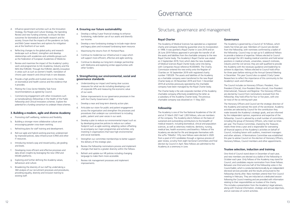- Strategy, the People and Culture Strategy, the Spending Review and new funding schemes, to ensure the best outcomes for biomedical and health research and for society. Ensure that the impacts of the pandemic on Early and Mid-Career researchers and options for mitigation are at the forefront of our work.
- e. Reflecting changes to the global policy and research landscape such as Brexit, strengthen and develop relationships with academies and umbrella groups such as the Federation of European Academies of Medicine.
- f. Review and maximise the impact of the Academy's policy work and programmes to link Academia, Industry and the NHS (the FORUM). Through the FORUM, identify innovation in areas such as such as women's health, translation of chronic pain research and clinical trials in rare diseases.
- g. Provide a high profile and trusted voice in the media on biomedical and health science and the evidence that it provides.
- h. Piloting the Cross Sector Mobility Task Force recommendations as agreed by Council.
- i. Commencing engagement with other innovations such as transdisciplinary fellowships in the Health of the Public Fellowship and Clinical Innovators schemes. Explore the potential for a funding consortium to underpin these schemes.

#### **3. Building a modern, agile and diverse Academy**

- a. Promoting staff wellbeing, resilience and flexibility.
- b. Building a stronger more collaborative culture and encouraging greater cross-team working.
- c. Refreshing plans for staff training and development.
- d. Roll-out agile and hybrid working practices underpinned by improved policies, data infrastructure (CRM) and other IT resources.
- e. Introducing revised a pay and reward policy, job grading and levels.
- f. Developing more efficient and effective processes and data driven insights by leveraging the new CRM and MS365 platforms.
- g. Exploring and further defining the Academy values, behaviours and culture.
- h. Broadening the diversity of our staff by undertaking a 360 analysis of our recruitment processes and procedures, providing equality, diversity and inclusion training to existing staff.

#### **4. Ensuring our future sustainability**

- a. Develop a rolling 3-year financial strategy to enhance fundraising, make better use of our assets and diversify our income.
- b. Develop a new fundraising strategy to include major donor and legacy plans and increased fundraising team resource.
- Maximising the returns from 41 Portland Place.
- d. Continue to modernise our infrastructure in ways which will support more efficient, effective and agile working.
- e. Continue to develop our long-term strategic partnership with Wellcome and exploring similar opportunities with other funders.

#### **5. Strengthening our environmental, social and governance standards**

- a. Understanding our impact and having clear success measures for what we do including developing a set of corporate KPIs and measuring the economic value of our work.
- b. Deliver improvements to our governance processes in line with the Charity Governance Code.
- c. Develop a near and long-term diversity action plan.
- d. Articulate our vision for public and patient engagement across the organisation and strengthen the processes and procedures that underpin our commitment to including public, patient and carer voices in our work.
- e. Develop a plan to reduce our environmental impact such as: by developing proactive policies to reduce our carbon footprint such as agile working; adopting carbon offsetting to accompany our major programmes and activities; only investing in organisations that have high environmental and social standards.
- f. Strengthen our committee memberships to better support the delivery of the strategic plan.
- g. Review the Fellowship nominations process and implement changes that lead to a greater diversity within the Fellows.
- Refresh and update our HR policies including changing language to make them more accessible.
- i. Review risk management processes and implement improvements.

# d. Influence government activities such as the Innovation **4. Ensuring our future sustainability** Structure, governance and management

#### **Royal Charter**

The Academy of Medical Sciences has operated as a registered charity and company limited by guarantee since its incorporation in 1998. It was granted a Royal Charter in June 2019 and on 26 June 2019 Fellows approved in principle the transfer of all the assets and liabilities from the charitable company to the new Royal Charter body. The Academy's Royal Charter was sealed on 3 September 2019, from which date the new Academy of Medical Sciences Royal Charter body came into being, with Companies House reference RC000905. The Charity Commission entered the new entity onto the Register of Charities on 16 September 2019 with registered charity number 1185329. The assets and liabilities of the Academy as a charitable company were transferred to the new Royal Charter body on 30 November 2019 and from 1 December 2019 all activities previously operated by the charitable company have been managed by the Royal Charter body.

The Charter body is the sole corporate member of the Academy charitable company effectively establishing the latter as a subsidiary of the Academy Charter body. The previous charitable company was dissolved on 11 May 2021.

### **Fellowship**

The Academy is one of the five National Academies of the UK and at 31 March 2021 had 1,283 Fellows, who are members of the company. The Academy elects Fellows on the basis of sustained and outstanding contributions to the breadth of medical research, including biomedical, clinical and population sciences, as well as veterinary medicine, dentistry, nursing, medical law, health economics and bioethics. Fellows of the Academy are elected for life and designate themselves with the suffix 'FMedSci'. Fifty new Fellows were elected in 2020 from a pool of 413 candidates through a rigorous process of peer review, scrutiny from eight Sectional Committees and final election by Council in April. New Fellows are admitted to the Academy at a ceremony in June.

#### **Governance**

The Academy is governed by a Council of 16 Fellows, which meets five times per year. Members of Council are elected from the Fellowship, with nominees confirmed by a ballot of the Fellowship. Council may co-opt up to 5 additional Fellows to provide a balance of expertise. Fellows elected to Council are amongst the UK's leading medical scientists and hold senior positions in medical schools, universities, research institutes, industry and the civil service; they are well qualified to provide the Academy with the necessary guidance and leadership to achieve its objectives. Fellows elected to Council hold office for three years before retiring at the Annual General Meeting in December. This year Council also co-opted 2 Early Career Researchers to reflect the importance of this community to the Academy's work and influence.

The Council includes six Honorary Officers: President, Vice-President (Clinical), Vice-President (Non-clinical), Vice-President (International), Treasurer and Registrar. The Honorary Officers are elected by Council from nominations received from the Fellowship; they hold office for four or five years, with one (or two) of the six retiring each year.

The Honorary Officers and Council set the strategic direction of the Academy and oversee the work of the secretariat. Academy activities are selected by Council for the contribution they make towards the Academy's strategic goals, and are informed by the independent opinion, experience and expertise of the Fellowship. Council is advised by a small number of committees, including the group of Honorary Officers, who meet six times per year. The Finance Committee, chaired by the Treasurer, meets three times a year and is responsible for overseeing all financial aspects of the Academy's activities on behalf of Council, including liaison with auditors, investment managers and other advisers. A Nominations Committee was established this year to advise Council on the election of Honorary Officers, Honorary Fellows, Council members and other appointments.

### **Trustee selection, induction and training**

One third of Council stand down in December of each year, and new members are elected via a ballot of the Fellowship in October each year. Only Fellows of the Academy may stand for Council, and candidates require nomination from three Fellows. Between one third and one half of the Fellowship votes in the Council ballot, which is conducted electronically by an independent electoral services provider and the results announced to the Fellowship shortly after. New members attend their first Council meeting in February. They are inducted at a dedicated session following the Council meeting and are provided with information relating to their responsibilities as trustees of the charity. This includes a presentation from the Academy's legal advisers, along with financial information, strategic and annual objectives, and an overview of current activities.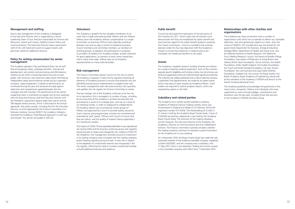#### **Management and staffing**

Day-to-day management of the Academy is delegated to the Executive Director who is supported by a Senior Leadership Team of four Directors responsible for Finance and Resources, Grants and Careers, Medical Science Policy and Communications. The Executive Director leads a permanent staff of 43, with fixed-term posts to support teams with particular needs for additional resource.

#### **Policy for setting remuneration for senior management**

The Academy operates a Pay and Reward Policy for all staff that encompasses salary, employee benefits, training and development, job content and promoting work/life balance. Salaries are set within a broad pay band structure at each grade, with minimum and maximum salary levels informed by independent salary benchmarking carried out by a specialist company. Salary progression is based on performance, as monitored during the year and assessed annually against objectives and competencies agreed between the line manager and staff member. The performance of the Senior Leadership Team is monitored via regular one-to-one meetings with the Executive Director (and the Executive Director with the President), assessment against objectives and an annual 360 degree review process, which is discussed at the annual appraisals. Any salary awards, including that for the Executive Director, must be approved by the Finance Committee at its February meeting. During 2020/21 the Academy initiated a reviewed the Academy's Total Reward Approach to staff pay and reward. This will be concluded in 2021/22.

#### **Volunteers**

The Academy is grateful for the valuable contribution to its work that is made voluntarily by both Fellows and non-Fellows. Fellows serve the Academy without compensation in a range of activities: as Honorary Officers (who typically contribute between two and six days a month to Academy business), Council members and committee members, as members of working groups, as speakers and participants in symposia, as providers of evidence for Academy studies, as peer reviewers for grant applications, as mentors to early career researchers, and in many more ways. Fellows also act as Academy representatives on many external bodies.

#### **Risk management**

The Finance Committee advises Council on the risks to which the Academy is exposed. It does this by regularly reviewing all elements of Academy business to ensure that potential risks are identified and processes implemented to mitigate those risks. The senior management team discusses business risks quarterly and updates the risk register for Finance Committee to review.

The key strategic risk of the Academy continues to be the risk to its reputation; this is managed in a number of ways, including by ensuring that all the Academy's activities are directed and prioritised as a result of its strategic plan, and not as a result of an individual funder, in order to safeguard its independence. All Academy reports are scrutinised by review groups of Fellows and approved by Council to provide quality assurance. Grant schemes and programmatic activities are monitored and evaluated by staff, panels, Officers and Council to ensure that they are robust, and the quality of research being supported is of a satisfactory quality.

The impact of COVID-19 was separately identified a new operational risk during 2020 and the business continuity group met regularly during the year to review and manage the risk. Linked to COVID-19 the Academy's risk management activities around its investment in its trading company were increased with the trading company board meeting regularly during the year. A new risk in relation to the depletion of unrestricted reserves was recognised in the risk register, reflecting the need to increase unrestricted funding to build additional reserves and resilience.

#### **Public benefit**

Council has discussed the implications of the provisions of the Charities Act 2011, which states that all charities must demonstrate that they are established for public benefit and have had due regard to the public benefit guidance issued by the Charity Commission. Council is confident that activities planned under the four key objectives fulfil the Academy's mission to ensure that advances in medical science are translated into healthcare benefits to the public.

#### **Grants**

The Academy's targeted research funding schemes are offered to a range of aspiring medical researchers. Each of the schemes operate specific eligibility and funding criteria, but all schemes are aimed at supporting those who demonstrate significant potential. The schemes are widely publicised and a robust selection process is operated; final appointments are made by an expert panel, which may draw on peer reviews by Academy Fellows. Grant holders are required to submit progress reports, which are reviewed by experts in the field.

#### **Subsidiary and related parties**

The Academy has a wholly owned subsidiary company, Academy of Medical Sciences Trading Limited, which was incorporated in England and Wales on 25 February 2010 with registered number 07170258. The shareholding of £1,000 in £1 shares is held by the Academy Royal Charter body. A loan of £100,000 secured by a debenture is also held by the Academy Royal Charter Body. The Directors of the trading subsidiary are the Treasurer, the Executive Director of the Academy, the Academy's Director of Communications and one independent Director. The Finance Committee routinely considers whether the trading company continues to represent a good investment for the Academy at its June meeting.

On 3 December 2019, the Royal Charter body was made the sole corporate member of the Academy charitable company, registered number 03520281, and the company was a subsidiary until 11 May 2021 when it was dissolved. Trading and activity ceased in the charitable company with effect from 1 December 2019.

### **Relationships with other charities and organisations**

The Academy has close connections with a number of organisations with which we co-operate to deliver our charitable objectives, and who generously support our work. Over the course of 2020/21 this included (but was not limited to): UK government Department for Business, Energy & Industrial Strategy (BEIS), Department of Health and Social Care, and the National Institute of Health Research, the Wellcome Trust, Medical Research Council, the Dennis & Mireille Gillings Foundation, Association of Physicians of Great Britain and Ireland, British Heart Foundation, Versus Arthritis, the Health Foundation, Public Health England, the Foulkes Foundation, the Yusuf and Farida Hamied Foundation, the Jean Shanks Foundation, the Lord Leonard and Lady Estelle Wolfson Foundation, Diabetes UK, the Lancet, the Royal Society, the British Academy, Royal Academy of Engineering, along with all the members of the Academy's FORUM and donors to the Daniel Turnberg Memorial Fund.

The Academy gratefully acknowledges the generosity of the many trusts, companies, Fellows and individuals who have supported our work through pledges, contributions and donations over the last year, including those that are part of the Academy's FORUM and Helix Group.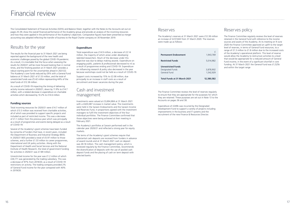The Finance Committee reviews the level of reserves regularly to ensure that they are appropriate for the purposes for which they are retained. These purposes are set out in Note 13 to the Accounts on pages 36 and 38.

Expenditure of £249k was incurred by the Designated Development Fund to support a variety of projects including improvements in the business and IT systems and the recruitment of the new Finance & Resources Director.

| <b>Permanent Endowment</b>                                    | 1,943,769              |
|---------------------------------------------------------------|------------------------|
| <b>Restricted Funds</b>                                       | 5,014,982              |
| <b>Unrestricted Funds</b><br>Designated Funds<br>General Fund | 3,878,902<br>1,542,929 |
| <b>Total Funds at 31 March 2021</b>                           | 12,380,582             |

# Reserves policy

The Finance Committee regularly reviews the level of reserves retained in the General Fund with reference to the income sources and assets of the Academy. At its meeting on 9 June 2020 the Finance Committee approved an uplift to the target level of reserves, in terms of General Fund resources, to a range of £1.3 million to £1.8 million due to the increased costs of the Academy's operational platform. This level of reserve would allow the Academy to restructure activities to a level that would be appropriate for a reduced amount of General Fund income, in the event of a significant shortfall in core funding. At 31 March 2021 the General Fund was £1,525k and within the target range

### Reserves

The Academy's reserves at 31 March 2021 were £12.38 million an increase of £237,843 from 31 March 2020. The reserves were made up as follows:

The Consolidated Statement of Financial Activities (SOFA) and Balance Sheet, together with the Notes to the Accounts set out on pages 25-39, show the overall financial performance of the Academy group and provide an analysis of the incoming resources and how they were applied in the performance of the Academy's objectives. Comparative figures have been presented as merger accounting was adopted reflecting the transfer of business to the Royal Charter company on 30 November 2019.

# Results for the year

The results for the financial year to 31 March 2021 are being reported against the background of the new health and economic challenges posed by the global COVID-19 pandemic. As a result, it is inevitable that the focus when assessing the results for 2020/21 will be more forward looking than in normal times, and the finishing position at 31 March 2021 provides a robust starting point for the uncertainties ahead in 2021/22. The Academy's core funds reduced by £91k with a General Fund balance at 31 March 2021 of £1.53 million, and the total of unrestricted funds was £5.42 million representing 44% of the total funds of £12.38 million.

As a result of COVID-19 impacting the timing of delivering activity income reduced in 2020/21, down by 11.9% to £14.7 million, with a related decrease in expenditure on charitable activities which decreased by 10.2% to £14.6 million.

#### **Funding sources**

Total incoming resources for 2020/21 were £14.7 million of which £13.3 million was received from charitable activities, all of which was provided to support specific projects and included as part of restricted income. This was a decrease of £1.1 million from the previous year which was principally as a result of programmes and events being delayed as a result of COVID-19.

Several of the Academy's grant schemes have been funded by consortia of funders that have, in recent years, included the Department of Business and Industrial Strategy (BEIS). In 2020/21 BEIS provided a total of £5.97 million to those schemes, and a further £1.33 million to career programmes, international and UK policy activities. Along with the Department of Health and Social Services and the National Institute of Health Research, the total of government funding for activities in 2020/21 was £7.89 million.

Unrestricted income for the year was £1.2 million of which £26,171 was generated by the trading subsidiary. This was a decrease of 97% from 2019/20, as a result of COVID-19 restrictions on activity. The trading company provided 2% of General Fund income for the year compared with 40% in 2019/20.

#### **Expenditure**

Total expenditure was £14.9 million, a decrease of £2.14 million, the majority of which arose under *developing talented researchers*. Much of the decrease under this objective was due to delays making awards. Expenditure on *engaging public, patients & professionals* decreased to nil as a result of programmes ending and COVID-19. Expenditure on *influencing research & policy* also decreased in the year because workshops could not be held as a result of COVID-19.

Support costs increased by 15% to £2.08 million, due principally to an increase in staff costs as a result of recruitment and lower vacancies during the year.

## Cash and investment management

Investments were valued at £3,694,884 at 31 March 2021 with a £420,087 increase in market value. The investments were held in the Sarasin Endowments and the Sarasin Income and Reserves Fund, in proportions agreed with the investment managers to fulfil the investment objectives of the four individual portfolios. The Finance Committee confirmed that those objectives were being achieved at their meeting in February 2021.

The Academy's portfolios at Sarasin performed well in the calendar year 2020/21 and reflected a strong year for equity markets.

The terms of the Academy's grant schemes require that substantial cash deposits are received from funders in advance of award rounds and at 31 March 2021 cash on deposit was £8.18 million. The cash management policy, which is reviewed regularly by the Finance Committee, recommends the diversification of deposits with the use of pooled cash deposit funds and the placing of cash on term deposit with selected banks

# Financial review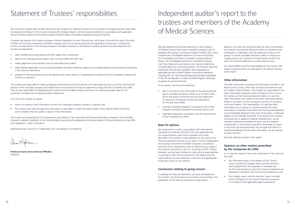# Statement of Trustees' responsibilities **Independent auditor's report to the**

The Council of trustees (who are also directors of the Academy for Medical Sciences for the purposes of company law) are responsible for preparing the Report of the Council (including the Strategic Report) and the financial statements in accordance with applicable law and United Kingdom Accounting Standards (United Kingdom Generally Accepted Accounting Practice).

Company law requires the trustees to prepare financial statements for each financial year, which give a true and fair view of the state of affairs of the Group and parent charitable company and of the incoming resources and application of resources, including the income and expenditure of the Group and parent charitable company for that period. In preparing these financial statements the trustees are required to:

- select suitable accounting policies and then apply them consistently;
- observe the methods and principles in the Charities SORP 2019 (FRS 102);
- make judgements and estimates that are reasonable and prudent;
- state whether applicable UK Accounting Standards have been followed, subject to any material departures disclosed and explained in the financial statements;
- prepare the financial statements on the going concern basis unless it is inappropriate to presume that the charitable company will continue in operation.

The trustees are responsible for keeping adequate accounting records that disclose with reasonable accuracy at any time the financial position of the charitable company and enable them to ensure that the financial statements comply with the Companies Act 2006. They are also responsible for safeguarding the assets of the charitable company and hence for taking reasonable steps for the prevention and detection of fraud and other irregularities.

In so far as the trustees are aware:

- there is no relevant audit information of which the charitable company's auditor is unaware; and
- the trustees have taken all steps that they ought to have taken to make themselves aware of any relevant audit information and to establish that the auditor is aware of that information.

The trustees are responsible for the maintenance and integrity of the corporate and financial information included on the charitable company's website. Legislation in the United Kingdom governing the preparation and dissemination of financial statements may differ from legislation in other jurisdictions.

Approved by the Council on 17 September 2021 and signed on its behalf by:

**Professor Dame Anne Johnson PMedSci** President

# trustees and members of the Academy of Medical Sciences

We have audited the financial statements of the Academy of Medical Sciences (the 'parent charitable company') and its subsidiary (the 'group') for the year ended 31 March 2021 which comprise the Consolidated Statement of Financial Activities, the Consolidated and Parent Charitable Company Balance Sheets, the Consolidated and Parent Charitable Company Cash Flow Statements and notes to the financial statements, including significant accounting policies. The financial reporting framework that has been applied in their preparation is applicable law and United Kingdom Accounting Standards, including FRS 102 *The Financial Reporting Standard applicable in the UK and Republic of Ireland* (United Kingdom Generally Accepted Accounting Practice).

In our opinion, the financial statements:

- give a true and fair view of the state of the group's and the parent charitable company's affairs as at 31 March 2021, and of the group's incoming resources and application of resources, including its income and expenditure, for the year then ended;
- have been properly prepared in accordance with United Kingdom Generally Accepted Accounting Practice; and
- have been prepared in accordance with the requirements of the Companies Act 2006.

#### **Basis for opinion**

We conducted our audit in accordance with International Standards on Auditing (UK) (ISAs (UK)) and applicable law. Our responsibilities under those standards are further described in the Auditor's responsibilities for the audit of the financial statements section of our report. We are independent of the group and parent charitable company in accordance with the ethical requirements that are relevant to our audit of the financial statements in the UK, including the FRC's Ethical Standard, and we have fulfilled our other ethical responsibilities in accordance with these requirements. We believe that the audit evidence we have obtained is sufficient and appropriate to provide a basis for our opinion.

#### **Conclusions relating to going concern**

In auditing the financial statements, we have concluded that the trustees' use of the going concern basis of accounting in the preparation of the financial statements is appropriate.

Based on the work we have performed, we have not identified any material uncertainties relating to events or conditions that, individually or collectively, may cast significant doubt on the group's or parent charitable company's ability to continue as a going concern for a period of at least twelve months from when the financial statements are authorised for issue.

Our responsibilities and the responsibilities of the trustees with respect to going concern are described in the relevant sections of this report.

### **Other information**

The other information comprises the information included in the Report of the Council, other than the financial statements and our auditor's report thereon. The trustees are responsible for the other information contained within the Report of the Council. Our opinion on the financial statements does not cover the other information and, except to the extent otherwise explicitly stated in our report, we do not express any form of assurance conclusion thereon. Our responsibility is to read the other information and, in doing so, consider whether the other information is materially inconsistent with the financial statements or our knowledge obtained in the course of the audit, or otherwise appears to be materially misstated. If we identify such material inconsistencies or apparent material misstatements, we are required to determine whether this gives rise to a material misstatement in the financial statements themselves. If, based on the work we have performed, we conclude that there is a material misstatement of this other information, we are required to report that fact.

We have nothing to report in this regard.

#### **Opinions on other matters prescribed by the Companies Act 2006**

In our opinion, based on the work undertaken in the course of the audit:

- the information given in the Report of the Council, which includes the strategic report and the directors' report prepared for the purposes of company law, for the financial year for which the financial statements are prepared is consistent with the financial statements; and
- the strategic report and the directors' report included within the Report of the Council have been prepared in accordance with applicable legal requirements.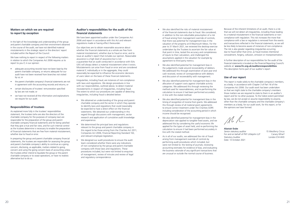Because of the inherent limitations of an audit, there is a risk that we will not detect all irregularities, including those leading to a material misstatement in the financial statements or noncompliance with regulation. This risk increases the more that compliance with a law or regulation is removed from the events and transactions reflected in the financial statements, as we will be less likely to become aware of instances of non-compliance. The risk is also greater regarding irregularities occurring due to fraud rather than error, as fraud involves intentional concealment, forgery, collusion, omission or misrepresentation.

A further description of our responsibilities for the audit of the financial statements is located on the Financial Reporting Council's website at: **www.frc.org.uk/auditorsresponsibilities**. This description forms part of our auditor's report

#### **Use of our report**

This report is made solely to the charitable company's members, as a body, in accordance with Chapter 3 of Part 16 of the Companies Act 2006. Our audit work has been undertaken so that we might state to the charitable company's members those matters we are required to state to them in an auditor's report and for no other purpose. To the fullest extent permitted by law, we do not accept or assume responsibility to anyone, other than the charitable company and the charitable company's members as a body, for our audit work, for this report, or for the opinions we have formed.

 $M / L$ 

**Alastair Duke**  *Senior statutory auditor* For and on behalf of PKF Littlejohn LLP Statutory Auditor Date: 13 October 2021

- We also identified the risks of material misstatement of the financial statements due to fraud. We considered, in addition to the non-rebuttable presumption of a risk of fraud arising from management override of controls, that there was potential for management bias in the valuation of the property at 8 Weymouth Mews. For the year to 31 March 2021, we reviewed the desktop exercise undertaken by the Trustees to ascertain the fair value at that point in time, tested the accuracy and completeness of inputs to their calculation, and challenged the assumptions applied in the valuation for example by agreement to third party metrics.
- We also identified potential for management bias in the judgements made around recoverability of debtors. We addressed this through examination of post year end cash received, review of correspondence with debtors and discussion of recoverability with management.
- We also identified potential for management bias in the allocation of support costs against charitable activity categories. We addressed this through reviewing the method used for reasonableness, and re-performing the calculation to ensure it had been performed accurately in line with the stated method.
- We also identified potential for management bias in the timing of recognition of income from grants. We addressed this through review of all material grant agreements to ensure correct treatment under the Charities SORP, including consideration of the accounting period in which income should be recognised.
- We also identified potential for management bias in the depreciation rate applied to tangible fixed assets, and we addressed this by considering the useful economic life applied for the types of asset held, and re-performing the calculation to ensure it had been performed accurately in line with the stated method.
- As in all of our audits, we addressed the risk of fraud arising from management override of controls by performing audit procedures which included, but were not limited to: the testing of journals; reviewing accounting estimates for evidence of bias; and evaluating the business rationale of any significant transactions that are unusual or outside the normal course of business.

15 Westferry Circus Canary Wharf London E14 4HD

#### **Matters on which we are required to report by exception**

In the light of the knowledge and understanding of the group and parent charitable company and their environment obtained in the course of the audit, we have not identified material misstatements in the strategic report or the directors' report included within the Report of the Council.

We have nothing to report in respect of the following matters in relation to which the Companies Act 2006 requires us to report to you if, in our opinion:

- adequate accounting records have not been kept by the parent charitable company, or returns adequate for our audit have not been received from branches not visited by us; or
- the parent charitable company's financial statements are not in agreement with the accounting records and returns; or
- certain disclosures of trustees' remuneration specified by law are not made; or
- we have not received all the information and explanations we require for our audit.

#### **Responsibilities of trustees**

As explained more fully in the trustees' responsibilities statement, the trustees (who are also the directors of the charitable company for the purposes of company law) are responsible for the preparation of the group and parent charitable company financial statements and for being satisfied that they give a true and fair view, and for such internal control as the trustees determine is necessary to enable the preparation of financial statements that are free from material misstatement, whether due to fraud or error.

In preparing the group and parent charitable company financial statements, the trustees are responsible for assessing the group and parent charitable company's ability to continue as a going concern, disclosing, as applicable, matters related to going concern and using the going concern basis of accounting unless the trustees either intend to liquidate the group or the parent charitable company or to cease operations, or have no realistic alternative but to do so.

#### **Auditor's responsibilities for the audit of the financial statements**

We have been appointed auditor under the Companies Act 2006 and report in accordance with this Act and relevant regulations made or having effect thereunder.

Our objectives are to obtain reasonable assurance about whether the financial statements as a whole are free from material misstatement, whether due to fraud or error, and to issue an auditor's report that includes our opinion. Reasonable assurance is a high level of assurance but is not a guarantee that an audit conducted in accordance with ISAs (UK) will always detect a material misstatement when it exists. Misstatements can arise from fraud or error and are considered material if, individually or in the aggregate, they could reasonably be expected to influence the economic decisions of users taken on the basis of these financial statements.

Irregularities, including fraud, are instances of non-compliance with laws and regulations. We design procedures in line with our responsibilities, outlined above, to detect material misstatements in respect of irregularities, including fraud. The extent to which our procedures are capable of detecting irregularities, including fraud is detailed below:

- We obtained an understanding of the group and parent charitable company and the sector in which they operate to identify laws and regulations that could reasonably be expected to have a direct effect on the financial statements. We obtained our understanding in this regard through discussions with management, sector research and application of cumulative audit knowledge and experience.
- We determined the principal laws and regulations relevant to the group and parent charitable company in this regard to be those arising from the Charities Act 2011, Companies Act 2006, Financial Reporting Standard 102, and relevant employee legislation.
- We designed our audit procedures to ensure the audit team considered whether there were any indications of non-compliance by the group and parent charitable company with those laws and regulations. These procedures included, but were not limited to enquiries of management, review of minutes and review of legal and regulatory correspondence.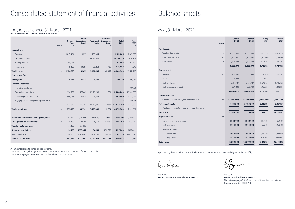|                                                         | <b>Note</b>    | Group<br>2021<br>£ | Charity<br>2021<br>£ | Group<br>2020<br>£ | Charity<br>2020<br>£ |
|---------------------------------------------------------|----------------|--------------------|----------------------|--------------------|----------------------|
| <b>Fixed assets</b>                                     |                |                    |                      |                    |                      |
| Tangible fixed assets                                   | 8              | 4,000,495          | 4,000,495            | 4,251,258          | 4,251,258            |
| Investment property                                     | 9 <sub>b</sub> | 1,200,000          | 1,200,000            | 1,200,000          | 1,200,000            |
| Investments                                             | 9a             | 3,694,884          | 3,695,884            | 3,274,797          | 3,275,797            |
|                                                         |                | 8,895,379          | 8,896,379            | 8,726,055          | 8,727,055            |
| <b>Current assets</b>                                   |                |                    |                      |                    |                      |
| <b>Debtors</b>                                          | 10             | 1,934,442          | 2,051,668            | 2,626,026          | 2,688,612            |
| <b>Stock</b>                                            |                | 3,424              |                      | 5,447              |                      |
| Cash on deposit                                         |                | 8,217,747          | 8,217,747            | 5,946,625          | 5,946,625            |
| Cash at bank and in hand                                |                | 531,809            | 339,949              | 1,498,350          | 1,290,556            |
|                                                         |                | 10,687,422         | 10,609,364           | 10,076,448         | 9,925,793            |
| <b>Current liabilities</b>                              |                |                    |                      |                    |                      |
| Creditors: amounts falling due within one year          | 11             | (7, 202, 219)      | (7, 126, 055)        | (6,659,764)        | (6, 567, 866)        |
| <b>Net current assets</b>                               |                | 3,485,203          | 3,483,309            | 3,416,684          | 3,357,927            |
| Creditors: amounts falling due after more than one year |                |                    |                      |                    |                      |
| <b>Net assets</b>                                       |                | 12,380,582         | 12,379,688           | 12,142,739         | 12,084,982           |
| <b>Represented by:</b>                                  | 13             |                    |                      |                    |                      |
| Permanent endowment funds                               |                | 1,943,769          | 1,943,769            | 1,671,180          | 1,671,180            |
| Restricted funds                                        |                | 5,014,982          | 5,014,982            | 4,958,789          | 4,958,789            |
| Unrestricted funds:                                     |                |                    |                      |                    |                      |
| General fund                                            |                | 1,542,929          | 1,542,035            | 1,344,803          | 1,287,046            |
| Designated funds                                        |                | 3,878,902          | 3,878,902            | 4,167,967          | 4,167,967            |
| <b>Total funds</b>                                      |                | 12,380,582         | 12,379,688           | 12,142,739         | 12,084,982           |

|                                               |                | General          | Other<br><b>Unrestricted</b> | <b>Restricted</b> | Permanent<br><b>Endowment</b> | <b>Total</b> | <b>Total</b> |
|-----------------------------------------------|----------------|------------------|------------------------------|-------------------|-------------------------------|--------------|--------------|
|                                               | <b>Note</b>    | <b>Fund</b><br>£ | <b>Funds</b><br>£            | <b>Funds</b><br>£ | <b>Funds</b><br>£             | 2021<br>£    | 2020<br>£    |
| Income from:                                  |                |                  |                              |                   |                               |              |              |
| Donations                                     |                | 1,015,484        | 8,237                        | 100,084           |                               | 1,123,805    | 1,163,290    |
| Charitable activities                         |                |                  |                              | 13,269,179        |                               | 13,269,179   | 14,424,806   |
| Trading activities                            |                | 148,096          |                              |                   |                               | 148,096      | 911,474      |
| Investments                                   |                | 21,158           | 23,396                       | 38,852            | 42,487                        | 125,883      | 151,643      |
| <b>Total income</b>                           | $\overline{3}$ | 1,184,738        | 31,633                       | 13,408,105        | 42,487                        | 14,666,963   | 16,651,213   |
| <b>Expenditure On:</b>                        |                |                  |                              |                   |                               |              |              |
| <b>Raising funds</b>                          |                | 161,181          | 64,574                       | 76,365            |                               | 302,120      | 786,062      |
| <b>Charitable activities</b>                  |                |                  |                              |                   |                               |              |              |
| Promoting excellence                          |                |                  |                              |                   |                               |              | 337,781      |
| Developing talented researchers               |                | 338,752          | 177,602                      | 12,179,299        | 12,550                        | 12,708,203   | 12,941,608   |
| Influencing research & policy                 |                | 540,065          | 150,585                      | 1,174,416         |                               | 1,865,066    | 2,182,092    |
| Engaging patients, the public & professionals |                |                  |                              |                   |                               |              | 772,118      |
|                                               |                | 878,817          | 328,187                      | 13,353,715        | 12,550                        | 14,573,269   | 16,233,599   |
| <b>Total expenditure</b>                      | $\overline{4}$ | 1,039,998        | 392,761                      | 13,430,080        | 12,550                        | 14,875,389   | 17,019,661   |
|                                               |                |                  |                              |                   |                               |              |              |
| Net income before investment gains/(losses)   |                | 144,740          | (361, 128)                   | (21, 975)         | 29,937                        | (208, 429)   | (368, 448)   |
| Gains/(losses) on investments                 | 9              | 31,188           | 94,260                       | 78,168            | 242,652                       | 446,268      | (120, 641)   |
| <b>Transfers between funds</b>                | 14             | 22,198           | (22, 198)                    |                   |                               |              |              |
| Net movement in funds                         |                | 198,126          | (289,066)                    | 56,193            | 272,589                       | 237,843      | (489,089)    |
| Funds 1 April 2020                            |                | 1,344,803        | 4,167,967                    | 4,958,789         | 1,671,180                     | 12,142,739   | 12,631,828   |
| Funds 31 March 2021                           | 13             | 1,542,929        | 3,878,902                    | 5,014,982         | 1,943,769                     | 12,380,582   | 12,142,739   |

# Consolidated statement of financial activities

### for the year ended 31 March 2021 **(Incorporating an income and expenditure account)**

All amounts relate to continuing operations.

There are no recognised gains or losses other than those in the statement of financial activities. The notes on pages 25-39 form part of these financial statements.

# Balance sheets

Approved by the Council and authorised for issue on 17 September 2021, and signed on its behalf by:

# as at 31 March 2021

President **Professor Dame Anne Johnson PMedSci**

Treasurer **Professor Ed Bullmore FMedSci** The notes on pages 25-39 form part of these financial statements. Company Number RC000905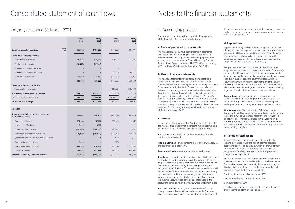|                                                                    | Group<br>2021<br>£ | Charity<br>2021<br>£ | Group<br>2020<br>£ | Charity<br>2020<br>£ |
|--------------------------------------------------------------------|--------------------|----------------------|--------------------|----------------------|
| <b>Note</b><br><b>Cash from operating activities</b><br>(a)        | 1,165,062          | 1,180,995            | (777, 059)         | (697, 774)           |
| Cash used in investing activities                                  |                    |                      |                    |                      |
| Interest from investments                                          | 125,883            | 125,883              | 151,643            | 151,643              |
| Purchase of fixed assets                                           | (12, 543)          | (12, 543)            |                    |                      |
| Proceeds from sale of fixed assets                                 |                    |                      |                    |                      |
| Proceeds from sale of investments                                  |                    |                      | 125,115            | 125,115              |
| Purchase of investments                                            | 26,180             | 26,180               | (978, 361)         | (978, 361)           |
|                                                                    | 139,520            | 139,520              | (701, 603)         | (701, 603)           |
| <b>Cash used in financing activities</b>                           |                    |                      |                    |                      |
| Repayment of borrowings                                            |                    |                      | (108, 898)         | (108, 898)           |
| (Decrease)/Increase in cash in the year                            | 1,304,582          | 1,320,516            | (1,587,560)        | (1,508,275)          |
| Cash at the beginning of the year                                  | 7,444,975          | 7,237,181            | 9,032,535          | 8,745,456            |
| Cash at the end of the year                                        | 8,749,557          | 8,557,696            | 7,444,975          | 7,237,181            |
| Note (a)                                                           |                    |                      |                    |                      |
| Net movement in funds per the statement<br>of financial activities | 237,843            | 294,258              | (489,089)          | (546, 846)           |
| Depreciation charges                                               | 257,144            | 257,144              | 282,470            | 282,470              |
| Loss on sale of fixed assets                                       | 6,162              | 6,162                |                    |                      |
| Losses/(gains) on investments                                      | (446, 268)         | (446, 268)           | 120,641            | 120,641              |
| Dividends & Interest from Investments                              | (125, 883)         | (125, 883)           | (151, 643)         | (151, 643)           |
| (Increase)/decrease in Cash in investment Portfolio                | $\mathbf{1}$       | 1                    | (186)              | (186)                |
| Decrease/(increase) in stock                                       | 2,023              |                      | (120)              |                      |
| Decrease/(increase) in debtors                                     | 691,584            | 636,944              | (1, 149, 357)      | (1,047,594)          |
| Increase in creditors                                              | 542,455            | 558,637              | 610,225            | 645,384              |
| Net cash provided by operating activities                          | 1,165,062          | 1,180,995            | (777, 059)         | (697, 774)           |

# for the year ended 31 March 2021

# 1. Accounting policies

The principal accounting policies applied in the preparation of the financial statements are described below.

### **a. Basis of preparation of accounts**

The financial statements have been prepared in accordance with Accounting and Reporting by Charities: Statement of Recommended Practice applicable to charities preparing their accounts in accordance with the Financial Reporting Standard for the UK and Republic of Ireland (FRS 102) (effective 1 January 2019) – (Charities SORP) and the Companies Act 2006.

#### **b. Group financial statements**

The financial statements include transactions, assets and liabilities of Academy of Medical Sciences Trading Limited, a wholly owned subsidiary company of the Academy of Medical Sciences on a line-by-line basis. Transactions and balances between the Academy and its subsidiary have been eliminated from the consolidated financial statements. Balances between the two entities are disclosed in the notes of the Academy's balance sheet. The subsidiary's accounts are produced separately as required by the Companies Act 2006 and are summarised at Note 2. No separate Statement of Financial Activities has been presented for the charity alone, as permitted by section 408 of the Companies Act 2006.

**Support costs -** where costs cannot be directly attributed, they have been allocated to activities on the basis of the average amount of staff time spent on each activity, except where the terms of restricted funding specifies a particular overhead recovery. Included in support costs are governance costs which are incurred in connection with the administration of the charity and compliance with constitutional and statutory requirements. The costs of Council meetings and the Annual General Meeting, together with related Fellows' travel costs, are included.

#### **c. Income**

All income is recognised once the Academy has entitlement to the income, it is probable that the income will be received, and the amount of income receivable can be measured reliably.

**Donations** are included in full in the statement of financial activities when receivable.

**Trading activities** – trading income is recognised when services are delivered and is net of VAT.

**Investment income** is recognised on a receivable basis.

**Grants** are credited to the statement of financial activities when received or receivable, whichever is earlier. Where entitlement to grants receivable is dependent upon fulfilment of conditions within the Academy's control, the incoming resources are recognised when there is sufficient evidence that conditions will be met. Where there is uncertainty as to whether the Academy can meet such conditions, the incoming resource is deferred. Where amounts are received which relate specifically for use in a future period, they are deferred and recognised in the accounting period to which they relate, where entitlement arises.

**Donated services** are recognised when the benefit to the charity is reasonably quantifiable and measurable. The value placed on these services is the estimated value to the charity of

the service received. The value is included in incoming resources and a corresponding amount is shown as expenditure under the relevant charitable activity.

### **d. Expenditure**

Expenditure is recognised once there is a legal or constructive obligation to make a payment to a third party, it is probable that settlement will be required, and the amount of the obligation can be measured reliably. All expenditure is accounted for on an accruals basis and has been listed under headings that aggregate all the costs related to that activity.

**Raising funds** includes fundraising costs expended in seeking new sources of funding for the Academy; the costs of conferencing and office rentals in the trading company; and expenditure on property to be used to generate income.

**Grants payable** – Clinician Scientist Fellowships, Starter Grants for Clinical Lecturers, Springboard Grants for Biomedical Researchers, Global Challenges Research Fund Networking and Newton Fellowships are charged in the year when the conditions for each award are fulfilled. Grants awarded under the Daniel Turnberg Memorial Fund are treated as payable only when funding is in place.

### **e. Tangible fixed assets**

Tangible fixed assets are included at cost except for the leasehold premises, which are held at deemed cost (see accounting policy j), and antiques, which are shown at their insurance value. Because of the long-term nature of the antiques, the Academy does not consider it appropriate to charge annual depreciation.

The Academy only capitalises individual items of fixed assets costing more than £2,000 and included on the balance sheet. Depreciation is provided on a straight-line basis on tangible fixed assets to write them off over their anticipated useful economic lives at the following annual rates

Furniture, fixtures and office equipment 10%

Computer and audio visual equipment 25%

Computer software 25%

Leasehold premises and refurbishment in equal instalments over the remaining term of the original lease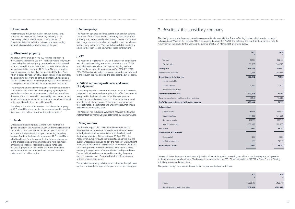#### **f. Investments**

Investments are included at market value at the year end. However, the investment in the trading company in the charity only balance sheet is at cost. The Statement of Financial Activities includes the net gains and losses arising on revaluations and disposals throughout the year.

#### **g. Mixed used property**

As a result of the change in FRS 102 referred to policy 1g, the Academy analysed its use of 41 Portland Place/8 Weymouth Mews to be able to identify any separate element that needed to be accounted for as an investment property. The Academy generates rental income from 41 Portland Place from surplus space it does not use itself. For the space in 41 Portland Place which is leased to Academy of Medical Sciences Trading Limited, the accounting policy choice permitted under SORP paragraph 10.48A has been applied whereby property leased to other entities in the group can be accounted for as operational fixed assets.

The property is also used by third parties for meeting room hire. Due to the nature of this use of the property by third parties, a reliable valuation cannot be reasonably obtained. In addition, the areas of the property which are used by third parties cannot be sold separately (or leased out separately under a finance lease) as this would render them unusable by AMS.

Therefore, in line with SORP section 10.47 the entire property at 41 Portland Place is accounted for as property within tangible fixed assets and held at historic cost less depreciation."

#### **h. Funds**

Unrestricted funds comprise a General Fund, held for the general objects of the Academy's work, and several Designated Funds which have been earmarked by the Council for specific purposes; a Business Fund to support the trading subsidiary, an Asset Fund for the leasehold premises at 41 Portland Place, a Building Repair Fund to provide for the future maintenance of the property and a Development Fund to hold significant unrestricted donations. Restricted funds are funds used for specific purposes as required by the donor. Permanent endowment funds are restricted funds that the donor has stated are to be held as capital.

#### **i. Pension policy**

The Academy operates a defined contribution pension scheme. The assets of the scheme are held separately from those of the Academy in an independently administered scheme. The pension cost charge represents contributions payable under the scheme by the charity to the fund. The charity has no liability under the scheme other than for the payment of those contributions.

### **j. VAT**

The Academy is registered for VAT and, because of a significant part of its activities being exempt or outside the scope of VAT, is not able to recover all the purchase VAT relating to those activities. An amount of irrecoverable VAT of £138,711 (2020: £354,614) has been included in resources expended and allocated to the relevant cost headings on the basis described at (d) above.

#### **k. Critical accounting estimates and areas of judgement**

In preparing financial statements it is necessary to make certain judgements, estimates and assumptions that affect the amounts recognised in the financial statements. The estimates and underlying assumptions are based on historical experience and other factors that are relevant. Actual results may differ from these estimates. The estimates and underlying assumptions are reviewed on an on-going basis.

The Academy has included 8 Weymouth Mews in the financial statements at fair market value as determined by external valuers.

#### **l. Going concern**

The financial impact of COVID-19 has been monitored by the executive and trustees since March 2021 with the review of budget and cashflow forecasts for both the charity and the trading subsidiary. At its meeting of 15 April 2021, the Academy's Council reviewed the forecasts and agreed that the level of unrestricted reserves held by the Academy was sufficient to be able to manage the uncertainties caused by the COVID-19 crisis, and approved the continued investment in the trading company during a period of unprecedented trading conditions. The period that has been considered in assessing the going concern is greater than 12 months from the date of approval of these financial statements.

The principal accounting policies, as set out above, have all been applied consistently throughout the year and the preceding year.

|                                                       | 2021<br>£ | 2020<br>£  |
|-------------------------------------------------------|-----------|------------|
| Turnover                                              | 29,903    | 962,610    |
| Costs of sales                                        | (75, 327) | (583, 618) |
| <b>Gross profit</b>                                   | (45, 424) | 378,992    |
| Administrative expenses                               | (21, 428) | (304, 187) |
| Operating profit for the year                         | (66, 852) | 74,805     |
| Interest receivable                                   |           |            |
| Interest payable                                      | (3,500)   | (3,500)    |
| Donation to the charity                               |           |            |
| Profit/(Loss) for the year                            | (70, 352) | 71,305     |
| Tax write-back/(tax) on profit on ordinary activities | 13,548    | (13, 548)  |
| Profit/(Loss) on ordinary activities after taxation   | (56, 804) | 57,757     |
| <b>Balance sheet</b>                                  |           |            |
| Current assets                                        | 198,056   | 292,838    |
| Current liabilities                                   | (96, 103) | (134, 081) |
| Net current assets                                    | 101,953   | 158,757    |
| Loan from the charity                                 | (100,000) | (100,000)  |
| <b>Net assets</b>                                     | 1,953     | 58,757     |
| <b>Share capital and reserves</b>                     |           |            |
| Share capital                                         | 1,000     | 1,000      |
| Profit & loss account                                 | 953       | 57,757     |
| <b>Shareholders' funds</b>                            | 1,953     | 58,757     |
|                                                       |           |            |

#### **Profit/(Loss) on ordinary activities after taxation (56,804) 57,757**

#### **Balance sheet**

The charity has one wholly owned subsidiary company, Academy of Medical Sciences Trading Limited, which was incorporated in England and Wales on 25 February 2010 with registered number 07170258. The details of the investment are given at note 17. A summary of the results for the year and the balance sheet at 31 March 2021 are shown below.

#### **Operating profit for the year**

#### **Profit/(Loss) for the year**

On consolidation these results have been adjusted to eliminate income from meeting room hire to the Academy and rent payable to the Academy under a head lease. The balance is included as income £26,171 and expenditure £63,707 at Notes 3 and 4: Trading subsidiary income and expenditure.

The parent charity's income and the results for the year are disclosed as follows:

## 2. Results of the subsidiary company

|                                    | 2021       | 2020<br>£  |
|------------------------------------|------------|------------|
| Income                             | 14,663,793 | 16,158,718 |
| Net movement in funds for the year | (152, 010) | (546, 850) |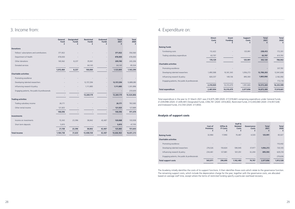|                                               | General<br><b>Fund</b><br>£ | <b>Designated</b><br><b>Funds</b><br>£ | <b>Restricted</b><br><b>Funds</b><br>£ | <b>Endowed</b><br><b>Funds</b><br>£ | <b>Total</b><br>2021<br>£ | <b>Total</b><br>2020<br>£ |
|-----------------------------------------------|-----------------------------|----------------------------------------|----------------------------------------|-------------------------------------|---------------------------|---------------------------|
| <b>Donations</b>                              |                             |                                        |                                        |                                     |                           |                           |
| Fellows' subscriptions and contributions      | 371,922                     |                                        |                                        |                                     | 371,922                   | 356,560                   |
| Department of Health                          | 478,000                     |                                        |                                        |                                     | 478,000                   | 478,000                   |
| Other donations                               | 165,562                     | 8,237                                  | 35,941                                 |                                     | 209,740                   | 243,206                   |
| Donated services                              |                             |                                        | 64,143                                 |                                     | 64,143                    | 85,524                    |
|                                               | 1,015,484                   | 8,237                                  | 100,084                                |                                     | 1,123,805                 | 1,163,290                 |
| <b>Charitable activities</b>                  |                             |                                        |                                        |                                     |                           |                           |
| Promoting excellence                          |                             |                                        |                                        |                                     |                           |                           |
| Developing talented researchers               |                             |                                        | 12,157,294                             |                                     | 12,157,294                | 12,889,280                |
| Influencing research & policy                 |                             |                                        | 1,111,885                              |                                     | 1,111,885                 | 1,301,896                 |
| Engaging patients, the public & professionals |                             |                                        |                                        |                                     |                           | 233,630                   |
|                                               |                             |                                        | 13,269,179                             |                                     | 13,269,179                | 14,424,806                |
| <b>Trading activities</b>                     |                             |                                        |                                        |                                     |                           |                           |
| Trading subsidiary income                     | 26,171                      |                                        |                                        |                                     | 26,171                    | 783,585                   |
| Other rental income                           | 121,925                     |                                        |                                        |                                     | 121,925                   | 127,889                   |
|                                               | 148,096                     |                                        |                                        |                                     | 148,096                   | 911,474                   |
| <b>Investments</b>                            |                             |                                        |                                        |                                     |                           |                           |
| Income on investments                         | 15,343                      | 23,396                                 | 38,842                                 | 42,487                              | 120,068                   | 103,938                   |
| Short term deposits                           | 5,815                       |                                        |                                        |                                     | 5,815                     | 47,705                    |
|                                               | 21,158                      | 23,396                                 | 38,842                                 | 42,487                              | 125,883                   | 151,643                   |
| <b>Total Income</b>                           | 1,184,738                   | 31,633                                 | 13,408,104                             | 42,487                              | 14,666,963                | 16,651,213                |

|                                               | Cost of<br><b>Premises</b><br>£ | Office &<br><b>IT Costs</b><br>£ | Staff &<br><b>Related</b><br>Costs<br>f | Governance<br>Costs<br>£ | <b>Total</b><br>2021 | <b>Total</b><br>2020<br>£ |
|-----------------------------------------------|---------------------------------|----------------------------------|-----------------------------------------|--------------------------|----------------------|---------------------------|
| <b>Raising Funds</b>                          | 32,984                          | 17,990                           | 70,487                                  | 4,530                    | 125,991              | 83,027                    |
| <b>Charitable activities</b>                  |                                 |                                  |                                         |                          |                      |                           |
| Promoting excellence                          |                                 |                                  |                                         |                          |                      | 110,442                   |
| Developing talented researchers               | 276,526                         | 150,824                          | 590,945                                 | 37,977                   | 1,056,272            | 720,105                   |
| Influencing research & policy                 | 234,461                         | 127,881                          | 501,051                                 | 32,200                   | 895,593              | 629,318                   |
| Engaging patients, the public & professionals |                                 |                                  |                                         |                          |                      | 270,636                   |
| <b>Total support costs</b>                    | 543,971                         | 296,695                          | 1,162,483                               | 74,707                   | 2,077,856            | 1,813,528                 |
|                                               |                                 |                                  |                                         |                          |                      |                           |

|                                               | <b>Direct</b><br>Costs<br>£ | Grant<br><b>Funding</b> | Support<br>Costs<br>£ | <b>Total</b><br>2021<br>£ | <b>Total</b><br>2020<br>£ |
|-----------------------------------------------|-----------------------------|-------------------------|-----------------------|---------------------------|---------------------------|
| ing Funds                                     |                             |                         |                       |                           |                           |
| Fundraising costs                             | 112,422                     |                         | 125,991               | 238,413                   | 172,301                   |
| Trading subsidiary expenditure                | 63,707                      |                         |                       | 63,707                    | 613,761                   |
|                                               | 176,129                     |                         | 125,991               | 302,120                   | 786,062                   |
| ritable activities                            |                             |                         |                       |                           |                           |
| Promoting excellence                          |                             |                         |                       |                           | 337,781                   |
| Developing talented researchers               | 1,490,588                   | 10,161,343              | 1,056,272             | 12,708,203                | 12,941,608                |
| Influencing research & policy                 | 820,337                     | 149,136                 | 895,593               | 1,865,066                 | 2,182,092                 |
| Engaging patients, the public & professionals |                             |                         |                       |                           | 772,118                   |
|                                               | 2,310,925                   | 10,310,479              | 1,951,865             | 14,573,269                | 16,233,599                |
| ıl expenditure                                | 2,487,054                   | 10,310,479              | 2,077,856             | 14,875,389                | 17,019,661                |

|                                               | <b>Direct</b><br>Costs<br>£ | Grant<br><b>Funding</b><br>£ | Support<br>Costs<br>£ | <b>Total</b><br>2021<br>£ | Total<br>2020<br>f |
|-----------------------------------------------|-----------------------------|------------------------------|-----------------------|---------------------------|--------------------|
| <b>Raising Funds</b>                          |                             |                              |                       |                           |                    |
| Fundraising costs                             | 112,422                     |                              | 125,991               | 238,413                   | 172,301            |
| Trading subsidiary expenditure                | 63,707                      |                              |                       | 63,707                    | 613,761            |
|                                               | 176,129                     |                              | 125,991               | 302,120                   | 786,062            |
| <b>Charitable activities</b>                  |                             |                              |                       |                           |                    |
| Promoting excellence                          |                             |                              |                       |                           | 337,781            |
| Developing talented researchers               | 1,490,588                   | 10,161,343                   | 1,056,272             | 12,708,203                | 12,941,608         |
| Influencing research & policy                 | 820,337                     | 149,136                      | 895,593               | 1,865,066                 | 2,182,092          |
| Engaging patients, the public & professionals |                             |                              |                       |                           | 772,118            |
|                                               | 2,310,925                   | 10,310,479                   | 1,951,865             | 14,573,269                | 16,233,599         |
| <b>Total expenditure</b>                      | 2,487,054                   | 10,310,479                   | 2,077,856             | 14,875,389                | 17,019,661         |
|                                               |                             |                              |                       |                           |                    |

# 3. Income from:

Total expenditure in the year to 31 March 2021 was £14,875,389 (2020: £17,019,661) comprising expenditure under General Funds; £1,039,998 (2020: £1,649,481) Designated Funds; £392,761 (2020: £414,802), Restricted Funds; £13,430,080 (2020: £14,937,528) and Endowed Funds; £12,550 (2020: £17,850).

# 4. Expenditure on:

The Academy initially identifies the costs of its support functions. It then identifies those costs which relate to the governance function. The remaining support costs, which include the depreciation charge for the year, together with the governance costs, are allocated based on average staff time, except where the terms of restricted funding specify a particular overhead recovery.

### **Analysis of support costs**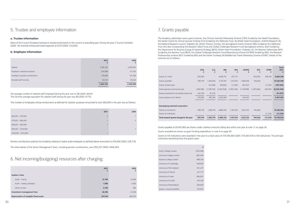|                                               | <b>CSFS</b><br>£         | <b>CLS</b><br>£ | <b>SBS</b><br>£ | <b>NFS</b><br>£          | <b>GCRFN</b><br>£        | <b>RST</b><br>£          | <b>DTMF</b><br>£         | <b>Total</b><br>2021<br>£ |
|-----------------------------------------------|--------------------------|-----------------|-----------------|--------------------------|--------------------------|--------------------------|--------------------------|---------------------------|
| Grants at 1 April                             | 220,583                  |                 | 4,026,751       | 651,731                  | $\overline{\phantom{a}}$ | 653,034                  | 108,250                  | 5,660,348                 |
| Grants awarded                                | 299,739                  | 1,545,626       | 4,747,181       | 1,312,815                | 1,686,509                | 744,629                  |                          | 10,336,499                |
| Grants written-back                           | $\overline{\phantom{a}}$ | (51, 448)       | (48, 926)       | (11, 205)                | (64, 357)                | -                        | (11, 510)                | (187, 445)                |
| Grant payments during the year                | (256, 596)               | (1, 199, 700)   | (3,182,506)     | (1,953,340)              | (1,178,989)              | (1,397,664)              | (96,740)                 | (9, 265, 534)             |
| Invoices received but not settled at year end | (43, 143)                | (8, 732)        |                 |                          |                          |                          |                          | (51, 875)                 |
| Grants balance at 31 March                    | 220,583                  | 285,746         | 5,542,500       | $\overline{\phantom{a}}$ | 443,163                  |                          | $\overline{\phantom{0}}$ | 6,491,993                 |
|                                               |                          |                 |                 |                          |                          |                          |                          |                           |
| Developing talented researchers               |                          |                 |                 |                          |                          |                          |                          |                           |
| Grants to institutions                        | 299,739                  | 1,494,178       | 4,698,255       | 1,301,610                | 1,622,153                | 744,628                  |                          | 10,160,564                |
| Grants to individuals                         |                          |                 |                 |                          |                          | $\overline{\phantom{a}}$ | (11, 510)                | (11, 510)                 |
| Total research grants charged in the year     | 299,739                  | 1,494,178       | 4,698,255       | 1,301,610                | 1,622,153                | 744,628                  | (11, 510)                | 10,149,054                |

|                                               | <b>CSFS</b><br>£         | <b>CLS</b><br>£ | <b>SBS</b><br>£ | <b>NFS</b><br>£          | <b>GCRFN</b><br>£        | <b>RST</b><br>£          | <b>DTMF</b><br>£  | <b>Total</b><br>2021<br>£ |
|-----------------------------------------------|--------------------------|-----------------|-----------------|--------------------------|--------------------------|--------------------------|-------------------|---------------------------|
| Grants at 1 April                             | 220,583                  |                 | 4,026,751       | 651,731                  | $\overline{\phantom{a}}$ | 653,034                  | 108,250           | 5,660,348                 |
| Grants awarded                                | 299,739                  | 1,545,626       | 4,747,181       | 1,312,815                | 1,686,509                | 744,629                  |                   | 10,336,499                |
| Grants written-back                           | $\overline{\phantom{a}}$ | (51, 448)       | (48, 926)       | (11, 205)                | (64, 357)                | $\overline{\phantom{a}}$ | (11, 510)         | (187, 445)                |
| Grant payments during the year                | (256, 596)               | (1, 199, 700)   | (3, 182, 506)   | (1,953,340)              | (1,178,989)              | (1,397,664)              | (96,740)          | (9, 265, 534)             |
| Invoices received but not settled at year end | (43, 143)                | (8, 732)        |                 |                          |                          |                          |                   | (51, 875)                 |
| Grants balance at 31 March                    | 220,583                  | 285,746         | 5,542,500       | $\overline{\phantom{a}}$ | 443,163                  |                          | $\qquad \qquad -$ | 6,491,993                 |
|                                               |                          |                 |                 |                          |                          |                          |                   |                           |
| Developing talented researchers               |                          |                 |                 |                          |                          |                          |                   |                           |
| Grants to institutions                        | 299,739                  | 1,494,178       | 4,698,255       | 1,301,610                | 1,622,153                | 744,628                  |                   | 10,160,564                |
| Grants to individuals                         |                          |                 |                 |                          |                          | $\overline{\phantom{a}}$ | (11, 510)         | (11, 510)                 |
| Total research grants charged in the year     | 299,739                  | 1,494,178       | 4,698,255       | 1,301,610                | 1,622,153                | 744,628                  | (11, 510)         | 10,149,054                |

|                                  | 2021      | 2020      |
|----------------------------------|-----------|-----------|
| Salaries                         | 2,185,325 | 2,005,953 |
| Employer's national insurance    | 233,588   | 211,763   |
| Employer's pension contributions | 179,496   | 141,356   |
| Donated staff services           | 64,143    | 85,524    |
|                                  | 2,662,552 | 2,444,596 |

|                                       | 2021<br>£ | 2020<br>£ |
|---------------------------------------|-----------|-----------|
| <b>Auditor's fees:</b>                |           |           |
| Audit - charity                       | 12,700    | 12,460    |
| Audit - trading subsidiary            | 1,980     | 4,450     |
| Other services                        | 2,390     | 380       |
| Investment management fees            | 26,180    | 21,548    |
| Depreciation of tangible fixed assets | 257,144   | 282,470   |

|                     | 2021 | 2020                     |
|---------------------|------|--------------------------|
| £60,001 - £70,000   |      |                          |
| £70,001 - £80,000   |      | 3                        |
| £80,001 - £90,000   |      | $\overline{\phantom{a}}$ |
| £90,001 - £100,000  |      |                          |
| £100,001 - £110,000 |      | $-$                      |

# 6. Net incoming/(outgoing) resources after charging:

Pension contributions paid by the Academy relating to higher paid employees as defined above amounted to £54,658 (2020: £28,719)

The total salaries of the Senior Management Team, including pension contributions, was £552,327 (2020: £458,281).

The average number of salaried staff employed during the year was 51.08 (2020: 49.87). The full-time average equivalent for salaried staff during the year was 49 (2020: 47.75).

The number of employees whose emoluments as defined for taxation purposes amounted to over £60,000 in the year was as follows:

#### **a. Trustee information**

None of the Council (trustees) received or waived emoluments in the current or preceding year. During the year 2 Council members (2020: 10) received reimbursed travel expenses of £270 (2020: £14,043).

#### **b. Employee information**

# 5. Trustee and employee information

|                            | £         |
|----------------------------|-----------|
| King's College London      | 1,053,568 |
| University College London  | 882,409   |
| Imperial College London    | 699,330   |
| University of Cambridge    | 548,829   |
| University of Birmingham   | 501,437   |
| University of Oxford       | 477,777   |
| University of Leeds        | 466,822   |
| University of Cardiff      | 391,106   |
| University of Nottingham   | 284,629   |
| Queen's University Belfast | 274,872   |

Grants payable of £6,491,993 are shown under creditors amounts falling due within one year at note 11 on page 34.

Grants awarded are shown as grant funding expenditure in note 4 on page 29.

Grants to 54 institutions were awarded in the year to a total value of £10,160,564 (2020: £10,363,154 to 58 institutions). The principal institutions benefiting from the grants were:

The Academy administers seven grant schemes: the Clinician Scientist Fellowship Scheme (CSFS) funded by the Health Foundation; the Starter Grants for Clinical Lecturer Scheme (CLS) funded by the Wellcome Trust, the British Heart Foundation, Arthritis Research UK, the Medical Research Council, Diabetes UK, British Thoracic Society; the Springboard Grants Scheme (SBS) funded by the Wellcome Trust (this also incorporating the Research Talent Fund and Global Challenges Research Fund Springboard scheme, both funded by the Department for Business Energy & Industrial Strategy (BEIS)), British Heart Foundation, Diabetes UK; the Newton Fellowships (NFS) funded by the Newton Fund (BEIS), the Global Challenges Research Fund Networking Scheme (GCRFN) funded by BEIS, the Research Professorship scheme (RST) funded by BEIS and the Daniel Turnberg UK/Middle East Travel Fellowship Scheme (DTMF). Details of the schemes are as follows:

# 7. Grants payable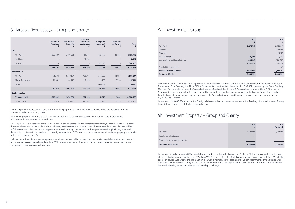|                                    | 2021      | 2020<br>f (restated) |
|------------------------------------|-----------|----------------------|
| At 1 April                         | 1,200,000 | 1,200,000            |
| Transfer from fixed assets         |           |                      |
| Revaluation of investment property |           | $-$                  |
| Fair value at 31 March             | 1,200,000 | 1,200,000            |

| 2021      | 2020<br>£  |
|-----------|------------|
| 3,274,797 | 2,542,007  |
|           | 1,000,000  |
|           | (125, 115) |
| (26, 180) | (21, 639)  |
| 446,267   | (120, 643) |
| 3,694,884 | 3,274,610  |
|           | 187        |
| 3,694,884 | 3,274,797  |
|           |            |

|                                     | 2021      | 2020       |
|-------------------------------------|-----------|------------|
| At 1 April                          | 3,274,797 | 2,542,007  |
| Additions                           |           | 1,000,000  |
| <b>Disposals</b>                    |           | (125, 115) |
| Management fees                     | (26, 180) | (21, 639)  |
| Increase/(decrease) in market value | 446,267   | (120, 643) |
|                                     | 3,694,884 | 3,274,610  |
| Cash held for investment            |           | 187        |
| <b>Market Value at 31 March</b>     | 3,694,884 | 3,274,797  |
| <b>Cost at 31 March</b>             | 2,993,521 | 2,993,521  |
|                                     |           |            |

|                     | Leasehold<br><b>Premises</b><br>£ | <b>Refurbished</b><br><b>Property</b><br>£ | Furniture,<br>fixtures &<br>equipment<br>£ | Computer<br>equipment<br>£ | Computer<br>software<br>£ | <b>Total</b><br>£ |
|---------------------|-----------------------------------|--------------------------------------------|--------------------------------------------|----------------------------|---------------------------|-------------------|
| Cost                |                                   |                                            |                                            |                            |                           |                   |
| At 1 April          | 1,983,607                         | 3,974,596                                  | 496,107                                    | 282,777                    | 22,685                    | 6,759,772         |
| Additions           |                                   |                                            | 12,543                                     |                            |                           | 12,543            |
| <b>Disposals</b>    |                                   |                                            |                                            | (45, 702)                  |                           | (45, 702)         |
|                     | 1,983,607                         | 3,974,596                                  | 508,650                                    | 237,075                    | 22,685                    | 6,726,613         |
| <b>Depreciation</b> |                                   |                                            |                                            |                            |                           |                   |
| At 1 April          | 679,134                           | 1,360,671                                  | 199,760                                    | 254,859                    | 14,090                    | 2,508,514         |
| Charge for the year | 71,481                            | 143,229                                    | 17,500                                     | 19,180                     | 5,754                     | 257,144           |
| <b>Disposals</b>    |                                   |                                            |                                            | (39, 540)                  |                           | (39, 540)         |
|                     | 750,615                           | 1,503,900                                  | 217,260                                    | 234,499                    | 19,844                    | 2,726,118         |
| Net book value      |                                   |                                            |                                            |                            |                           |                   |
| 31 March 2021       | 1,232,992                         | 2,470,696                                  | 291,390                                    | 2,576                      | 2,841                     | 4,000,495         |
| 31 March 2020       | 1,304,473                         | 2,613,925                                  | 296,347                                    | 27,918                     | 8,595                     | 4,251,258         |

Leasehold premises represent the value of the leasehold property at 41 Portland Place as transferred to the Academy from the Novartis Foundation on 31 July 2008.

Refurbished property represents the costs of construction and associated professional fees incurred in the refurbishment of 41 Portland Place between 2009 and 2011.

On 22 April 2014, the Academy completed on a new over-riding lease with the immediate landlords QAS Nominees Ltd that extends the current lease term on 41 Portland Place and 8 Weymouth Mews from 2038 to 2137. The rent payable from 6 July 2038 will be at full market rate rather than at the peppercorn rent paid currently. This means that the capital value will expire in July 2038 and depreciation continues to be calculated on the original lease term. 8 Weymouth Mews is treated as an investment property and details of this can be found under 1g.

Included in furniture, fixtures and equipment are antiques that are held as artefacts for the long term and depreciation, which would be immaterial, has not been charged on them. With regular maintenance their initial carrying value should be maintained and no impairment review is considered necessary

# 8. Tangible fixed assets – Group and Charity

## 9a. Investments - Group

Investments to the value of £381,640 representing the Jean Shanks Memorial and the Sackler endowed funds are held in the Sarasin Endowments Fund (formerly the Alpha CIF for Endowments). Investments to the value of £1,395,862 representing the Daniel Turnberg Memorial Fund are split between the Sarasin Endowments Fund and their Income & Reserves Fund (formerly Alpha CIF for Income & Reserves). Balances held in the General Fund and Restricted funds that have been identified by the Finance Committee as suitable for retention in the medium term, are also split across the Sarasin Endowment and Income & Reserves Funds and were valued at £1,917,381 at 31 March 2021.

Investments of £3,695,884 shown in the Charity only balance sheet include an investment in the Academy of Medical Sciences Trading Limited share capital of £1,000 which is valued at cost.

# 9b. Investment Property – Group and Charity

Investment property comprises 8 Weymouth Mews, London. The last valuation was at 31 March 2020 and was reported on the basis of 'material valuation uncertainty' as per VPS 3 and VPGA 10 of the RICS Red Book Global Standards. As a result of COVID-19, a higher degree of caution was attached to the valuation than would normally be the case, and the valuers recommended the valuation was kept under frequent review. During 2020/21 the tenant entered into a new 5-year lease, which was on a similar basis to their previous lease and following review the valuation has been kept unchanged.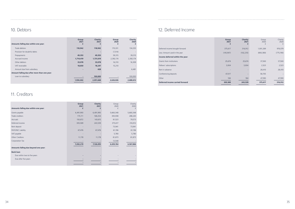| Deferred income brought forward  |
|----------------------------------|
| Less: Amount used in the year    |
| Income deferred within the year: |
| Grants from institutions         |
| Fellows' subscriptions           |
| Rent in advance                  |
| Conferencing deposits            |
| Other                            |
| Deferred income carried forward  |

|                                  | Group<br>2021<br>£ | Charity<br>2021<br>£ | Group<br>2020<br>£ | Charity<br>2020<br>£ |
|----------------------------------|--------------------|----------------------|--------------------|----------------------|
| Deferred income brought forward  | 375,617            | 316,912              | 1,001,269          | 976,079              |
| Less: Amount used in the year    | (145, 907)         | (102, 235)           | (800, 380)         | (775, 190)           |
| Income deferred within the year: |                    |                      |                    |                      |
| Grants from institutions         | 25,674             | 25,674               | 37,500             | 37,500               |
| Fellows' subscriptions           | 3,004              | 3,004                | 2,523              | 2,523                |
| Rent in advance                  |                    |                      | 28,410             | 28,410               |
| Conferencing deposits            | 47,017             |                      | 58,705             |                      |
| Other                            | 184                | 184                  | 47,590             | 47,590               |
| Deferred income carried forward  | 305,589            | 243,539              | 375,617            | 316,912              |

| Amounts falling due within one year: | Group<br>2021<br>£ | <b>Charity</b><br>2021<br>£ | Group<br>2020<br>£ | Charity<br>2020<br>£ |
|--------------------------------------|--------------------|-----------------------------|--------------------|----------------------|
| Grants payable                       | 6,491,993          | 6,491,993                   | 5,660,348          | 5,660,348            |
| Trade creditors                      | 175,111            | 168,254                     | 305,938            | 288,243              |
| Accruals                             | 150,872            | 143,615                     | 81,523             | 79,573               |
| Deferred income                      | 305,589            | 243,539                     | 375,617            | 316,912              |
| Rent deposit                         |                    |                             | 73,941             | 73,941               |
| PAYE/NIC Liability                   | 67,476             | 67,476                      | 61,196             | 61,196               |
| VAT payable                          |                    |                             | 5,780              | 5,780                |
| Other Creditors                      | 11,178             | 11,178                      | 81,873             | 81,873               |
| Corporation Tax                      |                    |                             | 13,548             |                      |
|                                      | 7,202,219          | 7,126,055                   | 6,659,764          | 6,567,866            |
| Amounts falling due beyond one year: |                    |                             |                    |                      |
| <b>Bank loan</b>                     |                    |                             |                    |                      |
| Due within two to five years         |                    |                             |                    |                      |
| Due after five years                 |                    |                             |                    |                      |
|                                      |                    |                             |                    |                      |

| Amounts falling due within one year:         | Group<br>2021<br>£       | Charity<br>2021 | Group<br>2020<br>£ | Charity<br>2020 |
|----------------------------------------------|--------------------------|-----------------|--------------------|-----------------|
| Trade debtors                                | 118,942                  | 118,942         | 170,331            | 134,333         |
| Provision for doubtful debts                 | -                        |                 | (7, 314)           |                 |
| Prepayments                                  | 49,353                   | 49,353          | 39,315             | 39,315          |
| Accrued income                               | 1,714,419                | 1,731,619       | 2,392,174          | 2,392,174       |
| Other debtors                                | 33,078                   | 33,078          | 16,310             | 16,309          |
| VAT receivable                               | 18,650                   | 18,247          | 15,210             |                 |
| Amount due from subsidiary                   | $\overline{\phantom{a}}$ | 428             |                    | 6,481           |
| Amount falling due after more than one year: |                          |                 |                    |                 |
| Loan to subsidiary                           |                          | 100,000         |                    | 100,000         |
|                                              | 1,934,442                | 2,051,668       | 2,626,026          | 2,688,612       |

# 10. Debtors 12. Deferred Income

**The State** 

# 11. Creditors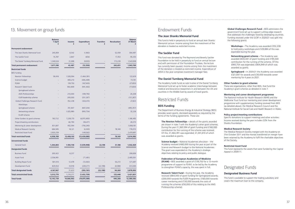|                                   | <b>Balance</b><br>1 April<br>£ | Income<br>£ | <b>Expenditure</b><br>£ | <b>Transfers</b><br>£ | <b>Revaluation</b><br>£ | <b>Balance</b><br>31 March<br>£ |
|-----------------------------------|--------------------------------|-------------|-------------------------|-----------------------|-------------------------|---------------------------------|
| <b>Permanent endowment</b>        |                                |             |                         |                       |                         |                                 |
| The Jean Shanks Memorial Fund     | 245,859                        | 8,542       | (1,963)                 |                       | 52,059                  | 304,497                         |
| The Sackler Fund                  | 75,787                         | 2,847       | (654)                   |                       | 17,353                  | 95,333                          |
| The Daniel Turnberg Memorial Fund | 1,349,534                      | 31,098      | (9,933)                 |                       | 173,239                 | 1,543,938                       |
| <b>Total permanent endowment</b>  | 1,671,180                      | 42,487      | (12, 550)               |                       | 242,651                 | 1,943,769                       |
| <b>Restricted funds</b>           |                                |             |                         |                       |                         |                                 |
| <b>BEIS</b> funding               |                                |             |                         |                       |                         |                                 |
| Newton Fellowships                | 58,416                         | 1,528,594   | (1,464,391)             |                       |                         | 122,619                         |
| Science budget                    |                                | 480,210     | (406, 469)              |                       |                         | 73,741                          |
| <b>FEAM</b>                       |                                | 139,750     | (167, 403)              |                       |                         | (27, 653)                       |
| Research Talent Fund:             |                                | 863,809     | (941, 463)              |                       |                         | (77, 654)                       |
| Springboard scheme                |                                |             |                         |                       |                         |                                 |
| AMS Professorships                |                                | 210,000     | (189, 792)              |                       |                         | 20,208                          |
| FLIER leadership scheme           |                                | 200,000     | (331, 267)              |                       |                         | (131, 267)                      |
| Global Challenges Research Fund:  |                                | 352,238     | (324, 415)              |                       |                         | 27,823                          |
| Workshops                         |                                |             |                         |                       |                         |                                 |
| Springboard scheme                |                                | 351,847     | (847, 204)              |                       |                         | (495, 357)                      |
| Networking scheme                 |                                | 1,025,980   | (993, 754)              |                       |                         | 32,226                          |
| <b>FLAIR Scheme</b>               |                                |             |                         |                       |                         |                                 |
| Other funders to grant schemes    | 763,722                        | 7,238,170   | (6, 815, 400)           |                       |                         | 1,186,492                       |
| Project/meeting contributions     |                                | 66,790      | (38, 417)               |                       |                         | 28,373                          |
| Mentoring & career development    | 831,807                        | 932,594     | (756, 240)              |                       |                         | 1,008,161                       |
| Medical Research Society          | 684,585                        | 18,121      | (4,303)                 |                       | 78,169                  | 776,572                         |
| <b>Restricted Asset Fund</b>      | 2,620,259                      |             | (149, 562)              |                       |                         | 2,470,697                       |
| <b>Total restricted funds</b>     | 4,958,789                      | 13,408,103  | (13, 430, 080)          |                       | 78,169                  | 5,014,982                       |
| <b>Unrestricted funds</b>         |                                |             |                         |                       |                         |                                 |
| General Fund                      | 1,344,803                      | 1,184,738   | (1,039,998)             | 22.198                | 31,188                  | 1,542,929                       |
| <b>Designated funds</b>           |                                |             |                         |                       |                         |                                 |
| <b>Business Fund</b>              | 200,422                        | 8,237       |                         |                       |                         | 208,659                         |
| Asset Fund                        | 2,556,981                      |             | (71, 481)               |                       |                         | 2,485,501                       |
| <b>Building Repair Fund</b>       | 581,010                        | 12,478      | (72,063)                |                       | 50,272                  | 571,697                         |
| Development Fund                  | 829,554                        | 10,918      | (249, 217)              | (22, 198)             | 43,988                  | 613,045                         |
| <b>Total designated funds</b>     | 4,167,967                      | 31,633      | (392, 761)              | (22, 198)             | 94,260                  | 3,878,902                       |
| <b>Total unrestricted funds</b>   | 5,512,770                      | 1,216,371   | (1,432,759)             |                       | 125,448                 | 5,421,831                       |
| <b>Total funds</b>                | 12,142,739                     | 14,666,963  | (14, 875, 389)          |                       | 446,268                 | 12,380,582                      |

# Endowment Funds

### **The Jean Shanks Memorial Fund**

This fund is held in perpetuity to fund an annual Jean Shanks Memorial Lecture. Income arising from the investment of the donation is treated as restricted income.

**Research Talent Fund –** During the year, the Academy received £864,000 of grant funding for Springboard awards, £200,000 towards the FLIER Programme, £160,000 towards career mentoring and £130,000 towards the costs of running the schemes (£50,000 of this relating to the AMS Professorship scheme).

#### **The Sackler Fund**

This fund was donated by The Raymond and Beverly Sackler Foundation to be held in perpetuity to fund an annual lecture and with permission of the Foundation Trustees, the lecture has currently been paused. Income arising from the investment of the donation is treated as restricted income. Expenditure of £654 in the year comprises investment manager fees.

**Networking grant scheme - The Academy was** awarded £830,441 of grant funding and £195,540 contribution for the running of the scheme. Of this £993,754 was expended; £804,949 of which was awarded as grants.

### **The Daniel Turnberg Memorial Fund**

The Academy holds funds as sole trustee of the Daniel Turnberg Memorial Fund set up to foster academic interchange between medical and bioscience researchers in and between the UK and countries in the Middle East by award of travel grants.

# Restricted Funds

### **BEIS Funding**

The Department of Business Energy & Industrial Strategy (BEIS) provides seven grants, disclosed separately as required by the terms of the funding agreements. These are:

**The Newton Fellowships –** details of the grants awarded are shown in note 7 with the Academy's other grant schemes. During the year £1,360.594 of grant funding and £168,000 contribution for the running of the scheme was received. Of this, £1,464,391 was expended; £1,301,610 of which was awarded as grants.

**Science budget –** National Academies allocation – the Academy received £480,000 during the year as part of the Science and Research budget to the National Academies. The grant was expended on the Academy's strategic objectives relating to policy and public dialogue.

#### **Federation of European Academies of Medicine**

**(FEAM) –** BEIS awarded a grant of £139,750 for a 12-month programme of support to FEAM, to be led by the Academy to strengthen FEAM's capacity, this was spent in full.

**Global Challenges Research Fund –** BEIS administers the government fund set up to support cutting-edge research that addresses the challenges faced by developing countries. Funding received under the GCRF in 2020/21 was split into the following grants:

**Workshops –** The Academy was awarded £352,238 to hold policy workshops and £129,884 of this was expended during the year.

**Springboard –** In 2020/21 the Academy was awarded £321,847 for awards and £30,000 towards career mentoring for 4 years to 2021.

#### **Other Funders to grant schemes**

These are organisations, other than BEIS, that fund the Academy's grant schemes as detailed in note 7.

#### **Mentoring and career development programme**

The National Institute for Health Research (NIHR) and the Wellcome Trust fund our mentoring and career development programme with supplementary funding received from BEIS (as detailed above), the Medical Research Council and the National Institute for Social Care and Health Research in Wales.

#### **Policy project/meeting contributions**

Specific donations to support meetings and other activities. Income received during the year includes £25k from the Shanks Foundation.

#### **Medical Research Society**

The Medical Research Society merged with the Academy on 31st October 2011 and the monies transferred on merger have been retained by the Academy to fulfil the charitable objectives of the Society.

#### **Restricted Asset Fund**

This fund represents the assets that were funded by the Capital Appeal in 2009-11.

# Designated Funds

### **Designated Business Fund**

This fund is available to support the trading subsidiary and covers the maximum loan to the company.

# 13. Movement on group funds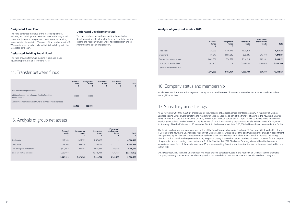|                               | General<br>funds<br>£ | <b>Designated</b><br>funds<br>£ | <b>Restricted</b><br>funds | <b>Permanent</b><br>endowment<br>funds | <b>Total</b>  |
|-------------------------------|-----------------------|---------------------------------|----------------------------|----------------------------------------|---------------|
| Fixed assets                  | 112,269               | 1,417,529                       | 2.470.697                  | $\overline{\phantom{a}}$               | 4,000,495     |
| Investments                   | 519,364               | 1.984.920                       | 613,100                    | 1,777,500                              | 4,894,884     |
| Cash on deposit and at bank   | (711, 780)            | 476,453                         | 8.646.888                  | 337,996                                | 8,749,626     |
| Other net current liabilities | 1,623,077             | $\overline{\phantom{a}}$        | (6, 715, 703)              | (171, 727)                             | (5, 264, 353) |
|                               | 1,542,929             | 3,878,902                       | 5,014,982                  | 1,943,769                              | 12,380,582    |

|                                                                       | General<br>fund<br>£     | <b>Designated</b><br>funds | <b>Restricted</b><br>funds | <b>Restricted</b><br>funds | <b>Total</b> |
|-----------------------------------------------------------------------|--------------------------|----------------------------|----------------------------|----------------------------|--------------|
| Transfer to building repair fund                                      | $\overline{\phantom{a}}$ | -                          | $\overline{\phantom{0}}$   |                            |              |
| Additional support from General Fund to Restricted<br>Funded projects | 22,198                   | 22,198                     | $\overline{\phantom{a}}$   |                            |              |
| Contribution from endowment fund to Restricted funded projects        |                          | -                          | $\overline{\phantom{0}}$   |                            |              |
|                                                                       | 22,198                   | (22, 198)                  | $\overline{\phantom{a}}$   |                            |              |

# 16. Company status and membership

Academy of Medical Sciences is a registered charity, incorporated by Royal Charter on 3 September 2019. At 31 March 2021 there were 1,283 members.

# 17. Subsidiary undertakings

At 30 November 2019 the 1,000 £1 shares held by the Academy of Medical Sciences charitable company in Academy of Medical Sciences Trading Limited were transferred to Academy of Medical Sciences as part of the transfer of assets to the new Royal Charter body. Also on that date, the loan facility of £200,000 set out in the loan agreement of 1 April 2010 was transferred to Academy of Medical Sciences by a Deed of Novation. The debenture of 1 April 2020 securing the loan was transferred via a Deed of Assignment to Academy of Medical Sciences on 30 November 2019. At the balance sheet date £100,000 had been drawn down under the facility.

The Academy charitable company was sole trustee of the Daniel Turnberg Memorial Fund until 30 November 2019. With effect from 1 December the new Royal Charter body Academy of Medical Sciences was appointed the sole trustee and the change in appointment was approved by the Charity Commission under a Scheme dated 20 November 2019. The Commission also approved the linking direction so that Daniel Turnberg Memorial Fund, a separate charity, is treated as part of Academy of Medical Sciences for the purposes of registration and accounting under parts 4 and 8 of the Charities Act 2011. The Daniel Turnberg Memorial Fund is shown as a separate endowed fund of the Academy at Note 13 and income arising from the investment of the fund is shown as restricted income in that note.

On 3 December 2019 the Royal Charter body was made the sole corporate trustee of the Academy of Medical Sciences charitable company, company number 3520281. The company has not traded since 1 December 2019 and was dissolved on 11 May 2021.

## 15. Analysis of group net assets

|                                | General<br>funds<br>£ | <b>Designated</b><br>funds<br>£ | <b>Restricted</b><br>funds<br>£ | Permanent<br>endowment<br>funds<br>£ |
|--------------------------------|-----------------------|---------------------------------|---------------------------------|--------------------------------------|
| Fixed assets                   | 135,826               | 1,495,173                       | 2,620,259                       |                                      |
| Investments                    | 491,947               | 1,896,215                       | 539,235                         | 1,547,400                            |
| Cash on deposit and at bank    | 1,065,001             | 776,579                         | 5,314,214                       | 289,181                              |
| Other net current liabilities  | (347, 971)            |                                 | (3,514,919)                     | (165, 401)                           |
| Liabilities due after one year |                       |                                 | -                               |                                      |
|                                | 1,344,803             | 4,167,967                       | 4,958,789                       | 1,671,180                            |
|                                |                       |                                 |                                 |                                      |

|                                | General<br>funds<br>£ | <b>Designated</b><br>funds<br>£ | <b>Restricted</b><br>funds<br>£ | <b>Permanent</b><br>endowment<br>funds<br>ŧ. | <b>Total</b><br>£ |
|--------------------------------|-----------------------|---------------------------------|---------------------------------|----------------------------------------------|-------------------|
| <b>Fixed assets</b>            | 135,826               | 1,495,173                       | 2,620,259                       | $\overline{\phantom{a}}$                     | 4,251,258         |
| Investments                    | 491,947               | 1,896,215                       | 539,235                         | 1,547,400                                    | 4,474,797         |
| Cash on deposit and at bank    | 1,065,001             | 776,579                         | 5,314,214                       | 289,181                                      | 7,444,975         |
| Other net current liabilities  | (347, 971)            | -                               | (3,514,919)                     | (165, 401)                                   | (4,028,291)       |
| Liabilities due after one year |                       |                                 |                                 |                                              |                   |
|                                | 1,344,803             | 4,167,967                       | 4,958,789                       | 1,671,180                                    | 12,142,739        |

#### **Analysis of group net assets - 2019**

## 14. Transfer between funds

#### **Designated Asset Fund**

This fund comprises the value of the leasehold premises, antiques, and paintings at 41 Portland Place and 8 Weymouth Mews in July 2008 on merger with the Novartis Foundation, less associated depreciation. The costs of the refurbishment of 8 Weymouth Mews are also included in this fund along with the associated bank loan.

#### **Designated Building Repair Fund**

This fund provides for future building repairs and major equipment purchases at 41 Portland Place.

#### **Designated Development Fund**

This fund has been set up from significant unrestricted donations and transfers from the General Fund to be used to expand the Academy's work under its Strategic Plan and to strengthen the operational platform.